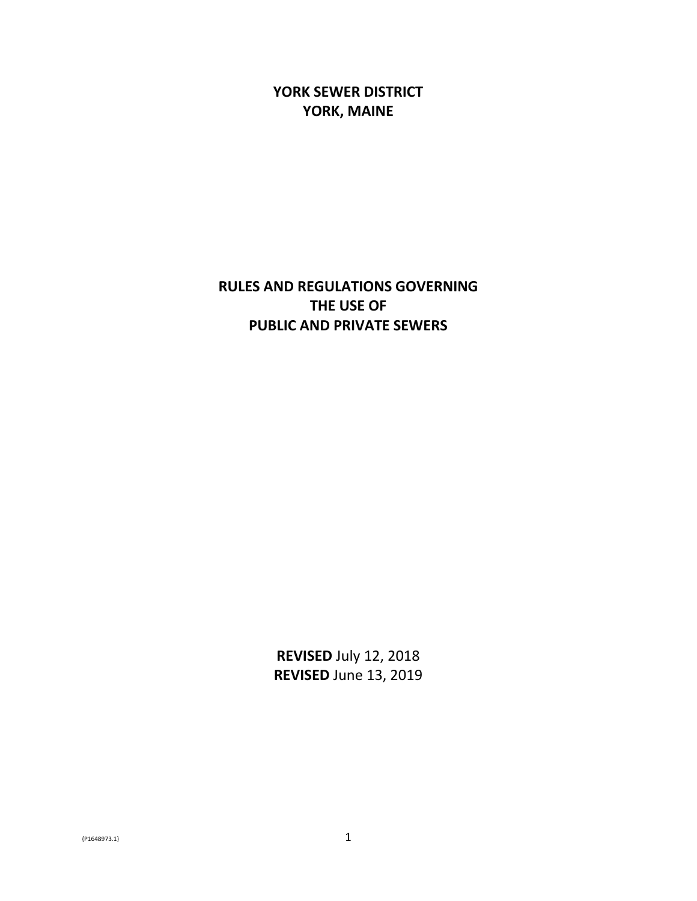**YORK SEWER DISTRICT YORK, MAINE**

**RULES AND REGULATIONS GOVERNING THE USE OF PUBLIC AND PRIVATE SEWERS**

> **REVISED** July 12, 2018 **REVISED** June 13, 2019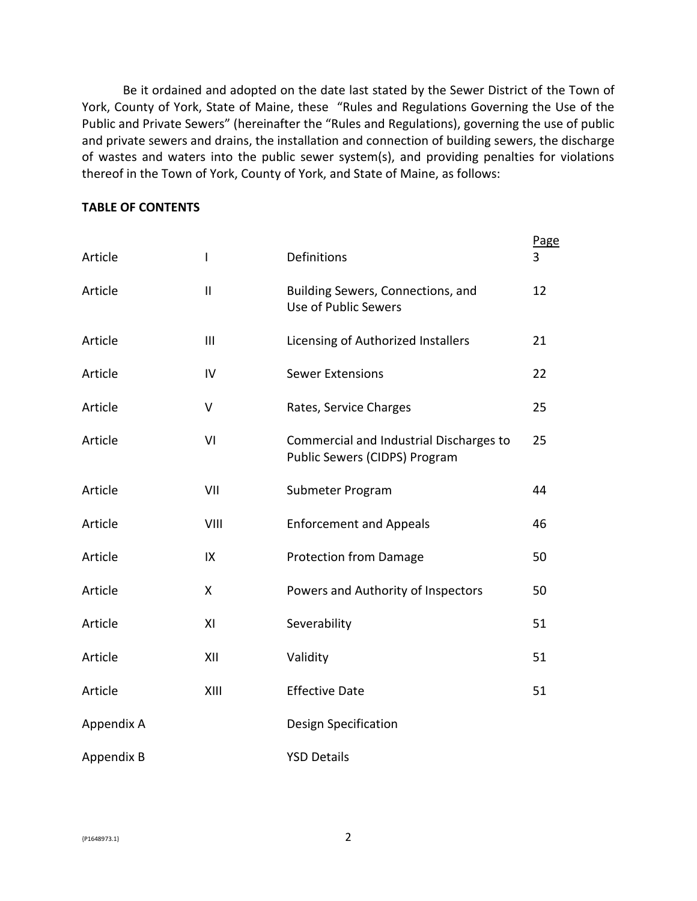Be it ordained and adopted on the date last stated by the Sewer District of the Town of York, County of York, State of Maine, these "Rules and Regulations Governing the Use of the Public and Private Sewers" (hereinafter the "Rules and Regulations), governing the use of public and private sewers and drains, the installation and connection of building sewers, the discharge of wastes and waters into the public sewer system(s), and providing penalties for violations thereof in the Town of York, County of York, and State of Maine, as follows:

#### **TABLE OF CONTENTS**

| Article    | I              | Definitions                                                              |    |
|------------|----------------|--------------------------------------------------------------------------|----|
| Article    | Ш              | Building Sewers, Connections, and<br>Use of Public Sewers                |    |
| Article    | $\mathbf{III}$ | Licensing of Authorized Installers                                       | 21 |
| Article    | IV             | <b>Sewer Extensions</b>                                                  | 22 |
| Article    | V              | Rates, Service Charges                                                   |    |
| Article    | VI             | Commercial and Industrial Discharges to<br>Public Sewers (CIDPS) Program |    |
| Article    | VII            | Submeter Program                                                         | 44 |
| Article    | VIII           | <b>Enforcement and Appeals</b>                                           | 46 |
| Article    | IX             | <b>Protection from Damage</b>                                            | 50 |
| Article    | X              | Powers and Authority of Inspectors                                       | 50 |
| Article    | XI             | Severability                                                             | 51 |
| Article    | XII            | Validity                                                                 | 51 |
| Article    | XIII           | <b>Effective Date</b>                                                    |    |
| Appendix A |                | Design Specification                                                     |    |
| Appendix B |                | <b>YSD Details</b>                                                       |    |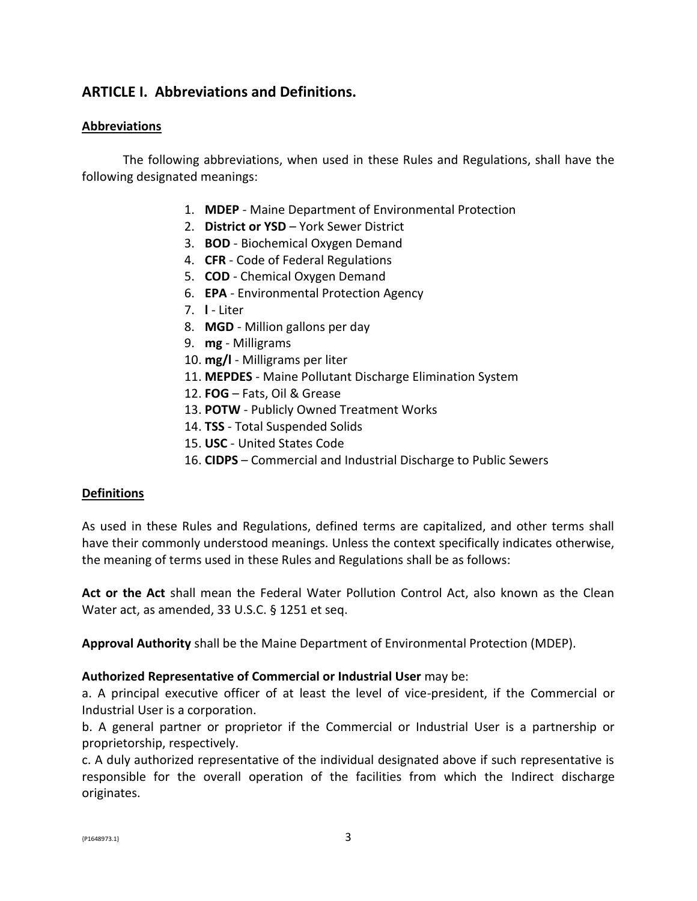# **ARTICLE I. Abbreviations and Definitions.**

#### **Abbreviations**

The following abbreviations, when used in these Rules and Regulations, shall have the following designated meanings:

- 1. **MDEP** Maine Department of Environmental Protection
- 2. **District or YSD** York Sewer District
- 3. **BOD** Biochemical Oxygen Demand
- 4. **CFR** Code of Federal Regulations
- 5. **COD** Chemical Oxygen Demand
- 6. **EPA** Environmental Protection Agency
- 7. **l** Liter
- 8. **MGD** Million gallons per day
- 9. **mg** Milligrams
- 10. **mg/l** Milligrams per liter
- 11. **MEPDES** Maine Pollutant Discharge Elimination System
- 12. **FOG** Fats, Oil & Grease
- 13. **POTW** Publicly Owned Treatment Works
- 14. **TSS** Total Suspended Solids
- 15. **USC** United States Code
- 16. **CIDPS** Commercial and Industrial Discharge to Public Sewers

#### **Definitions**

As used in these Rules and Regulations, defined terms are capitalized, and other terms shall have their commonly understood meanings. Unless the context specifically indicates otherwise, the meaning of terms used in these Rules and Regulations shall be as follows:

**Act or the Act** shall mean the Federal Water Pollution Control Act, also known as the Clean Water act, as amended, 33 U.S.C. § 1251 et seq.

**Approval Authority** shall be the Maine Department of Environmental Protection (MDEP).

#### **Authorized Representative of Commercial or Industrial User** may be:

a. A principal executive officer of at least the level of vice-president, if the Commercial or Industrial User is a corporation.

b. A general partner or proprietor if the Commercial or Industrial User is a partnership or proprietorship, respectively.

c. A duly authorized representative of the individual designated above if such representative is responsible for the overall operation of the facilities from which the Indirect discharge originates.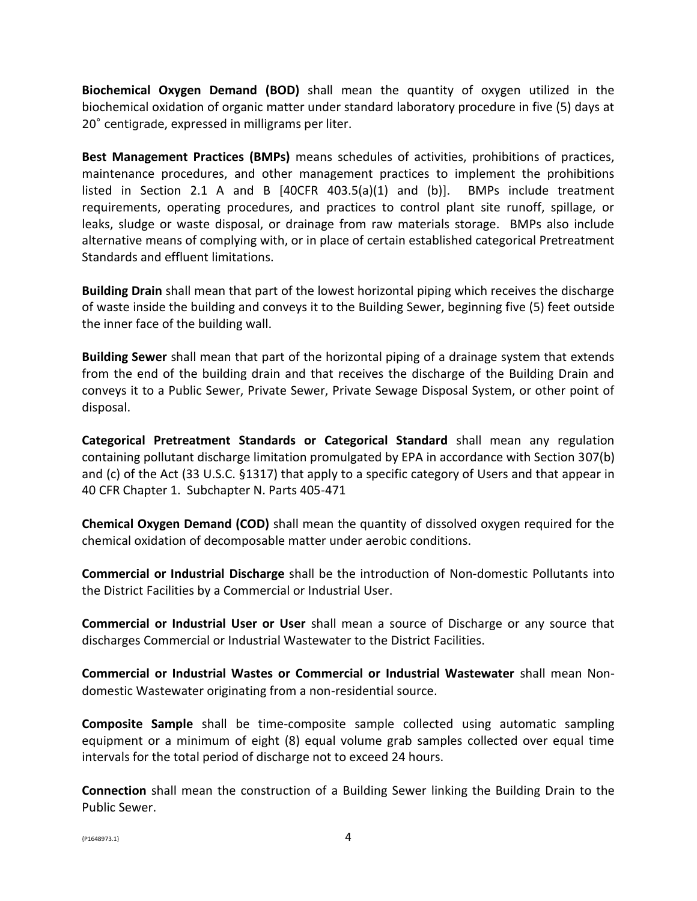**Biochemical Oxygen Demand (BOD)** shall mean the quantity of oxygen utilized in the biochemical oxidation of organic matter under standard laboratory procedure in five (5) days at 20° centigrade, expressed in milligrams per liter.

**Best Management Practices (BMPs)** means schedules of activities, prohibitions of practices, maintenance procedures, and other management practices to implement the prohibitions listed in Section 2.1 A and B [40CFR 403.5(a)(1) and (b)]. BMPs include treatment requirements, operating procedures, and practices to control plant site runoff, spillage, or leaks, sludge or waste disposal, or drainage from raw materials storage. BMPs also include alternative means of complying with, or in place of certain established categorical Pretreatment Standards and effluent limitations.

**Building Drain** shall mean that part of the lowest horizontal piping which receives the discharge of waste inside the building and conveys it to the Building Sewer, beginning five (5) feet outside the inner face of the building wall.

**Building Sewer** shall mean that part of the horizontal piping of a drainage system that extends from the end of the building drain and that receives the discharge of the Building Drain and conveys it to a Public Sewer, Private Sewer, Private Sewage Disposal System, or other point of disposal.

**Categorical Pretreatment Standards or Categorical Standard** shall mean any regulation containing pollutant discharge limitation promulgated by EPA in accordance with Section 307(b) and (c) of the Act (33 U.S.C. §1317) that apply to a specific category of Users and that appear in 40 CFR Chapter 1. Subchapter N. Parts 405-471

**Chemical Oxygen Demand (COD)** shall mean the quantity of dissolved oxygen required for the chemical oxidation of decomposable matter under aerobic conditions.

**Commercial or Industrial Discharge** shall be the introduction of Non-domestic Pollutants into the District Facilities by a Commercial or Industrial User.

**Commercial or Industrial User or User** shall mean a source of Discharge or any source that discharges Commercial or Industrial Wastewater to the District Facilities.

**Commercial or Industrial Wastes or Commercial or Industrial Wastewater** shall mean Nondomestic Wastewater originating from a non-residential source.

**Composite Sample** shall be time-composite sample collected using automatic sampling equipment or a minimum of eight (8) equal volume grab samples collected over equal time intervals for the total period of discharge not to exceed 24 hours.

**Connection** shall mean the construction of a Building Sewer linking the Building Drain to the Public Sewer.

 $\{P1648973.1\}$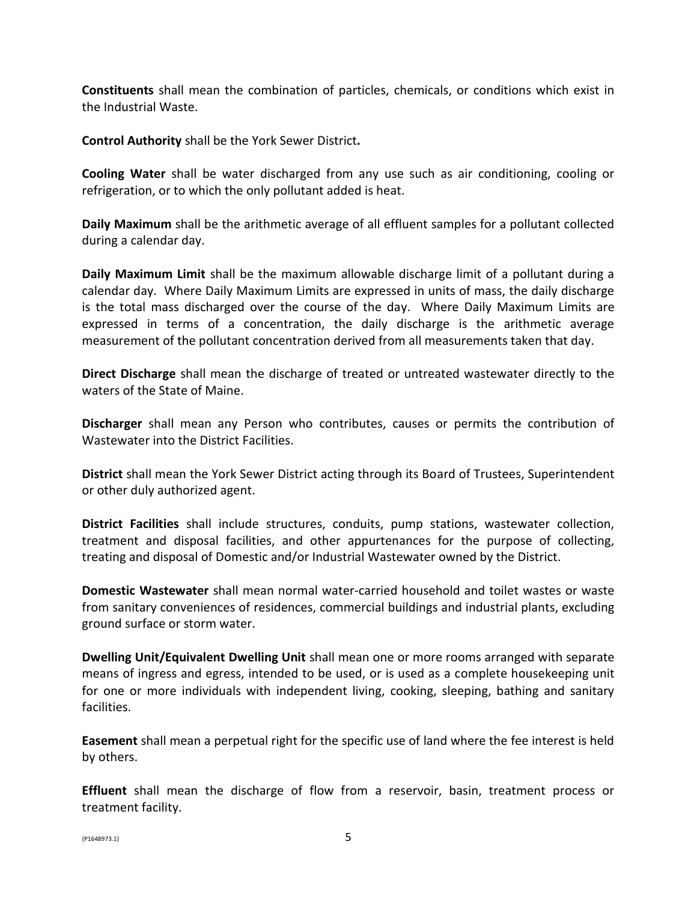**Constituents** shall mean the combination of particles, chemicals, or conditions which exist in the Industrial Waste.

**Control Authority** shall be the York Sewer District**.**

**Cooling Water** shall be water discharged from any use such as air conditioning, cooling or refrigeration, or to which the only pollutant added is heat.

**Daily Maximum** shall be the arithmetic average of all effluent samples for a pollutant collected during a calendar day.

**Daily Maximum Limit** shall be the maximum allowable discharge limit of a pollutant during a calendar day. Where Daily Maximum Limits are expressed in units of mass, the daily discharge is the total mass discharged over the course of the day. Where Daily Maximum Limits are expressed in terms of a concentration, the daily discharge is the arithmetic average measurement of the pollutant concentration derived from all measurements taken that day.

**Direct Discharge** shall mean the discharge of treated or untreated wastewater directly to the waters of the State of Maine.

**Discharger** shall mean any Person who contributes, causes or permits the contribution of Wastewater into the District Facilities.

**District** shall mean the York Sewer District acting through its Board of Trustees, Superintendent or other duly authorized agent.

**District Facilities** shall include structures, conduits, pump stations, wastewater collection, treatment and disposal facilities, and other appurtenances for the purpose of collecting, treating and disposal of Domestic and/or Industrial Wastewater owned by the District.

**Domestic Wastewater** shall mean normal water-carried household and toilet wastes or waste from sanitary conveniences of residences, commercial buildings and industrial plants, excluding ground surface or storm water.

**Dwelling Unit/Equivalent Dwelling Unit** shall mean one or more rooms arranged with separate means of ingress and egress, intended to be used, or is used as a complete housekeeping unit for one or more individuals with independent living, cooking, sleeping, bathing and sanitary facilities.

**Easement** shall mean a perpetual right for the specific use of land where the fee interest is held by others.

**Effluent** shall mean the discharge of flow from a reservoir, basin, treatment process or treatment facility.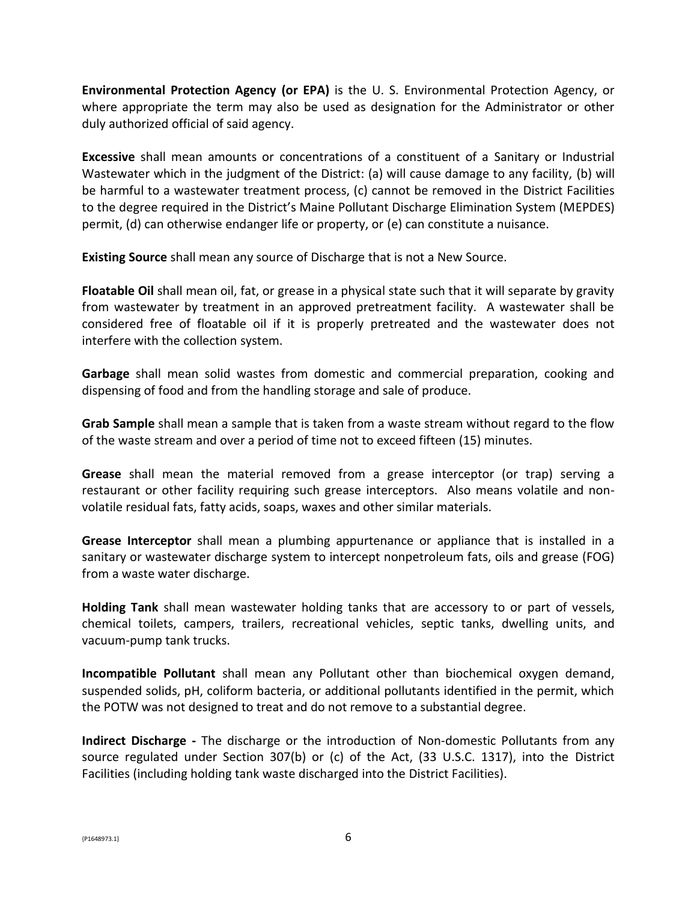**Environmental Protection Agency (or EPA)** is the U. S. Environmental Protection Agency, or where appropriate the term may also be used as designation for the Administrator or other duly authorized official of said agency.

**Excessive** shall mean amounts or concentrations of a constituent of a Sanitary or Industrial Wastewater which in the judgment of the District: (a) will cause damage to any facility, (b) will be harmful to a wastewater treatment process, (c) cannot be removed in the District Facilities to the degree required in the District's Maine Pollutant Discharge Elimination System (MEPDES) permit, (d) can otherwise endanger life or property, or (e) can constitute a nuisance.

**Existing Source** shall mean any source of Discharge that is not a New Source.

**Floatable Oil** shall mean oil, fat, or grease in a physical state such that it will separate by gravity from wastewater by treatment in an approved pretreatment facility. A wastewater shall be considered free of floatable oil if it is properly pretreated and the wastewater does not interfere with the collection system.

**Garbage** shall mean solid wastes from domestic and commercial preparation, cooking and dispensing of food and from the handling storage and sale of produce.

**Grab Sample** shall mean a sample that is taken from a waste stream without regard to the flow of the waste stream and over a period of time not to exceed fifteen (15) minutes.

**Grease** shall mean the material removed from a grease interceptor (or trap) serving a restaurant or other facility requiring such grease interceptors. Also means volatile and nonvolatile residual fats, fatty acids, soaps, waxes and other similar materials.

**Grease Interceptor** shall mean a plumbing appurtenance or appliance that is installed in a sanitary or wastewater discharge system to intercept nonpetroleum fats, oils and grease (FOG) from a waste water discharge.

**Holding Tank** shall mean wastewater holding tanks that are accessory to or part of vessels, chemical toilets, campers, trailers, recreational vehicles, septic tanks, dwelling units, and vacuum-pump tank trucks.

**Incompatible Pollutant** shall mean any Pollutant other than biochemical oxygen demand, suspended solids, pH, coliform bacteria, or additional pollutants identified in the permit, which the POTW was not designed to treat and do not remove to a substantial degree.

**Indirect Discharge -** The discharge or the introduction of Non-domestic Pollutants from any source regulated under Section 307(b) or (c) of the Act, (33 U.S.C. 1317), into the District Facilities (including holding tank waste discharged into the District Facilities).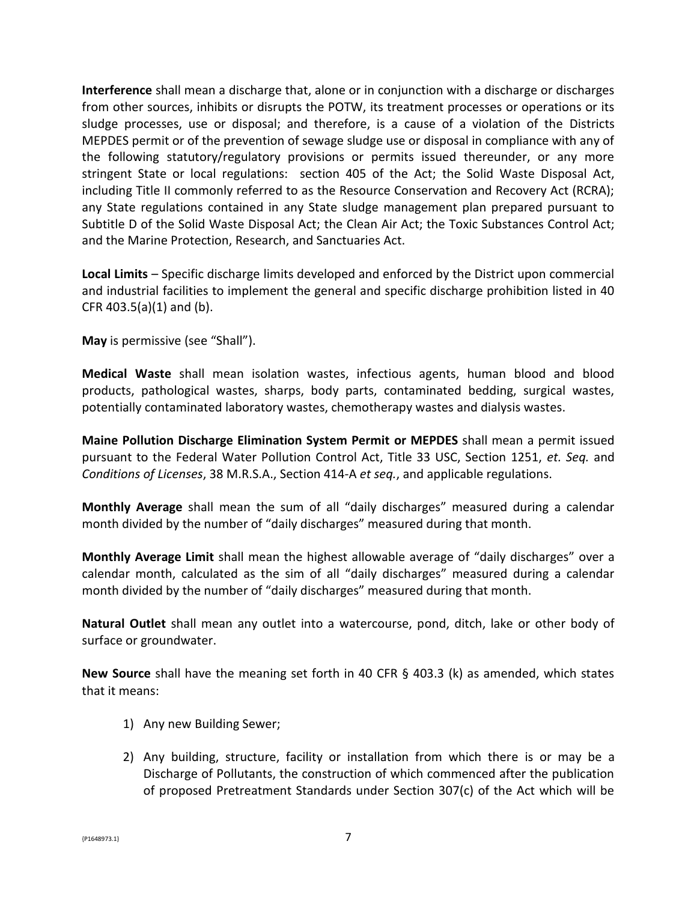**Interference** shall mean a discharge that, alone or in conjunction with a discharge or discharges from other sources, inhibits or disrupts the POTW, its treatment processes or operations or its sludge processes, use or disposal; and therefore, is a cause of a violation of the Districts MEPDES permit or of the prevention of sewage sludge use or disposal in compliance with any of the following statutory/regulatory provisions or permits issued thereunder, or any more stringent State or local regulations: section 405 of the Act; the Solid Waste Disposal Act, including Title II commonly referred to as the Resource Conservation and Recovery Act (RCRA); any State regulations contained in any State sludge management plan prepared pursuant to Subtitle D of the Solid Waste Disposal Act; the Clean Air Act; the Toxic Substances Control Act; and the Marine Protection, Research, and Sanctuaries Act.

**Local Limits** – Specific discharge limits developed and enforced by the District upon commercial and industrial facilities to implement the general and specific discharge prohibition listed in 40 CFR 403.5(a)(1) and (b).

**May** is permissive (see "Shall").

**Medical Waste** shall mean isolation wastes, infectious agents, human blood and blood products, pathological wastes, sharps, body parts, contaminated bedding, surgical wastes, potentially contaminated laboratory wastes, chemotherapy wastes and dialysis wastes.

**Maine Pollution Discharge Elimination System Permit or MEPDES** shall mean a permit issued pursuant to the Federal Water Pollution Control Act, Title 33 USC, Section 1251, *et. Seq.* and *Conditions of Licenses*, 38 M.R.S.A., Section 414-A *et seq.*, and applicable regulations.

**Monthly Average** shall mean the sum of all "daily discharges" measured during a calendar month divided by the number of "daily discharges" measured during that month.

**Monthly Average Limit** shall mean the highest allowable average of "daily discharges" over a calendar month, calculated as the sim of all "daily discharges" measured during a calendar month divided by the number of "daily discharges" measured during that month.

**Natural Outlet** shall mean any outlet into a watercourse, pond, ditch, lake or other body of surface or groundwater.

**New Source** shall have the meaning set forth in 40 CFR § 403.3 (k) as amended, which states that it means:

- 1) Any new Building Sewer;
- 2) Any building, structure, facility or installation from which there is or may be a Discharge of Pollutants, the construction of which commenced after the publication of proposed Pretreatment Standards under Section 307(c) of the Act which will be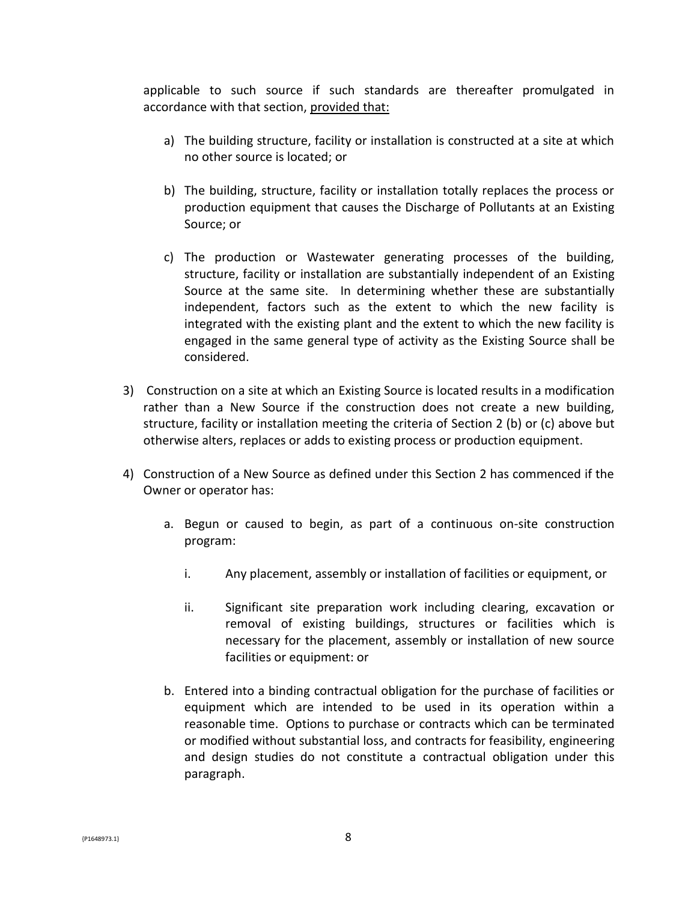applicable to such source if such standards are thereafter promulgated in accordance with that section, provided that:

- a) The building structure, facility or installation is constructed at a site at which no other source is located; or
- b) The building, structure, facility or installation totally replaces the process or production equipment that causes the Discharge of Pollutants at an Existing Source; or
- c) The production or Wastewater generating processes of the building, structure, facility or installation are substantially independent of an Existing Source at the same site. In determining whether these are substantially independent, factors such as the extent to which the new facility is integrated with the existing plant and the extent to which the new facility is engaged in the same general type of activity as the Existing Source shall be considered.
- 3) Construction on a site at which an Existing Source is located results in a modification rather than a New Source if the construction does not create a new building, structure, facility or installation meeting the criteria of Section 2 (b) or (c) above but otherwise alters, replaces or adds to existing process or production equipment.
- 4) Construction of a New Source as defined under this Section 2 has commenced if the Owner or operator has:
	- a. Begun or caused to begin, as part of a continuous on-site construction program:
		- i. Any placement, assembly or installation of facilities or equipment, or
		- ii. Significant site preparation work including clearing, excavation or removal of existing buildings, structures or facilities which is necessary for the placement, assembly or installation of new source facilities or equipment: or
	- b. Entered into a binding contractual obligation for the purchase of facilities or equipment which are intended to be used in its operation within a reasonable time. Options to purchase or contracts which can be terminated or modified without substantial loss, and contracts for feasibility, engineering and design studies do not constitute a contractual obligation under this paragraph.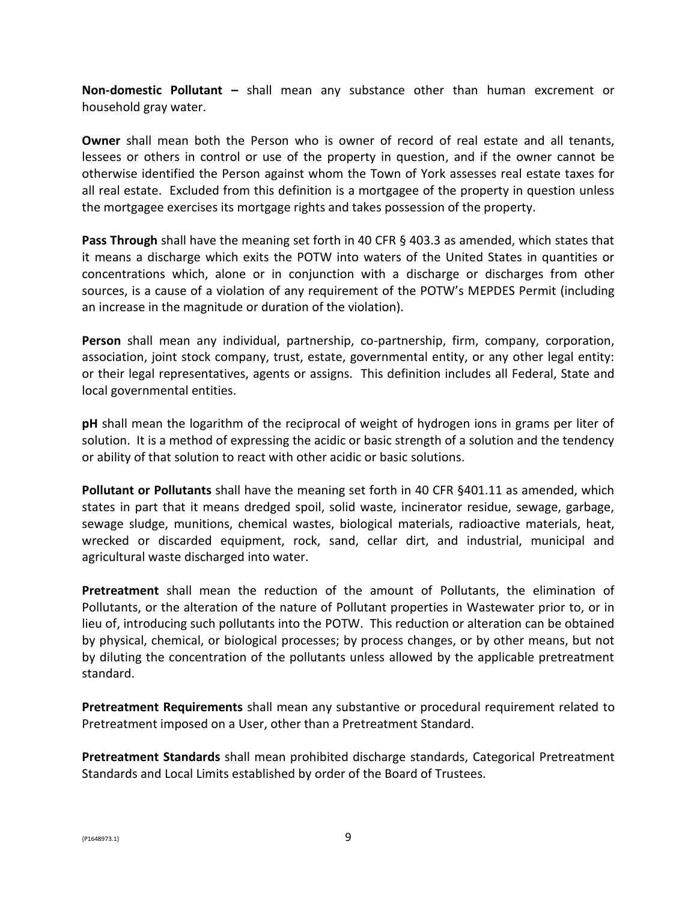**Non-domestic Pollutant –** shall mean any substance other than human excrement or household gray water.

**Owner** shall mean both the Person who is owner of record of real estate and all tenants, lessees or others in control or use of the property in question, and if the owner cannot be otherwise identified the Person against whom the Town of York assesses real estate taxes for all real estate. Excluded from this definition is a mortgagee of the property in question unless the mortgagee exercises its mortgage rights and takes possession of the property.

**Pass Through** shall have the meaning set forth in 40 CFR § 403.3 as amended, which states that it means a discharge which exits the POTW into waters of the United States in quantities or concentrations which, alone or in conjunction with a discharge or discharges from other sources, is a cause of a violation of any requirement of the POTW's MEPDES Permit (including an increase in the magnitude or duration of the violation).

**Person** shall mean any individual, partnership, co-partnership, firm, company, corporation, association, joint stock company, trust, estate, governmental entity, or any other legal entity: or their legal representatives, agents or assigns. This definition includes all Federal, State and local governmental entities.

**pH** shall mean the logarithm of the reciprocal of weight of hydrogen ions in grams per liter of solution. It is a method of expressing the acidic or basic strength of a solution and the tendency or ability of that solution to react with other acidic or basic solutions.

**Pollutant or Pollutants** shall have the meaning set forth in 40 CFR §401.11 as amended, which states in part that it means dredged spoil, solid waste, incinerator residue, sewage, garbage, sewage sludge, munitions, chemical wastes, biological materials, radioactive materials, heat, wrecked or discarded equipment, rock, sand, cellar dirt, and industrial, municipal and agricultural waste discharged into water.

**Pretreatment** shall mean the reduction of the amount of Pollutants, the elimination of Pollutants, or the alteration of the nature of Pollutant properties in Wastewater prior to, or in lieu of, introducing such pollutants into the POTW. This reduction or alteration can be obtained by physical, chemical, or biological processes; by process changes, or by other means, but not by diluting the concentration of the pollutants unless allowed by the applicable pretreatment standard.

**Pretreatment Requirements** shall mean any substantive or procedural requirement related to Pretreatment imposed on a User, other than a Pretreatment Standard.

**Pretreatment Standards** shall mean prohibited discharge standards, Categorical Pretreatment Standards and Local Limits established by order of the Board of Trustees.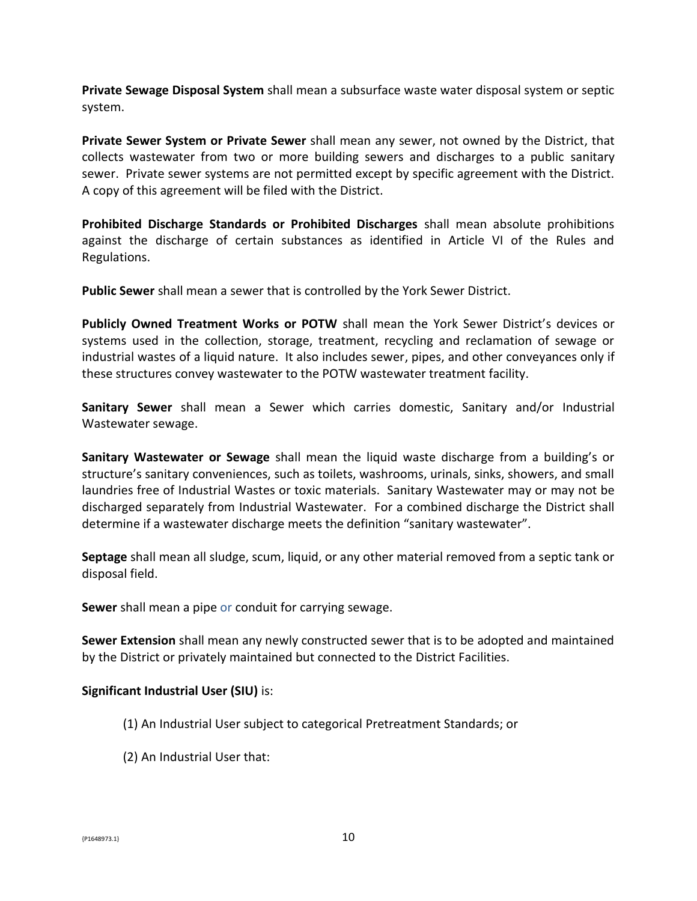**Private Sewage Disposal System** shall mean a subsurface waste water disposal system or septic system.

**Private Sewer System or Private Sewer** shall mean any sewer, not owned by the District, that collects wastewater from two or more building sewers and discharges to a public sanitary sewer. Private sewer systems are not permitted except by specific agreement with the District. A copy of this agreement will be filed with the District.

**Prohibited Discharge Standards or Prohibited Discharges** shall mean absolute prohibitions against the discharge of certain substances as identified in Article VI of the Rules and Regulations.

**Public Sewer** shall mean a sewer that is controlled by the York Sewer District.

**Publicly Owned Treatment Works or POTW** shall mean the York Sewer District's devices or systems used in the collection, storage, treatment, recycling and reclamation of sewage or industrial wastes of a liquid nature. It also includes sewer, pipes, and other conveyances only if these structures convey wastewater to the POTW wastewater treatment facility.

**Sanitary Sewer** shall mean a Sewer which carries domestic, Sanitary and/or Industrial Wastewater sewage.

**Sanitary Wastewater or Sewage** shall mean the liquid waste discharge from a building's or structure's sanitary conveniences, such as toilets, washrooms, urinals, sinks, showers, and small laundries free of Industrial Wastes or toxic materials. Sanitary Wastewater may or may not be discharged separately from Industrial Wastewater. For a combined discharge the District shall determine if a wastewater discharge meets the definition "sanitary wastewater".

**Septage** shall mean all sludge, scum, liquid, or any other material removed from a septic tank or disposal field.

**Sewer** shall mean a pipe or conduit for carrying sewage.

**Sewer Extension** shall mean any newly constructed sewer that is to be adopted and maintained by the District or privately maintained but connected to the District Facilities.

#### **Significant Industrial User (SIU)** is:

- (1) An Industrial User subject to categorical Pretreatment Standards; or
- (2) An Industrial User that: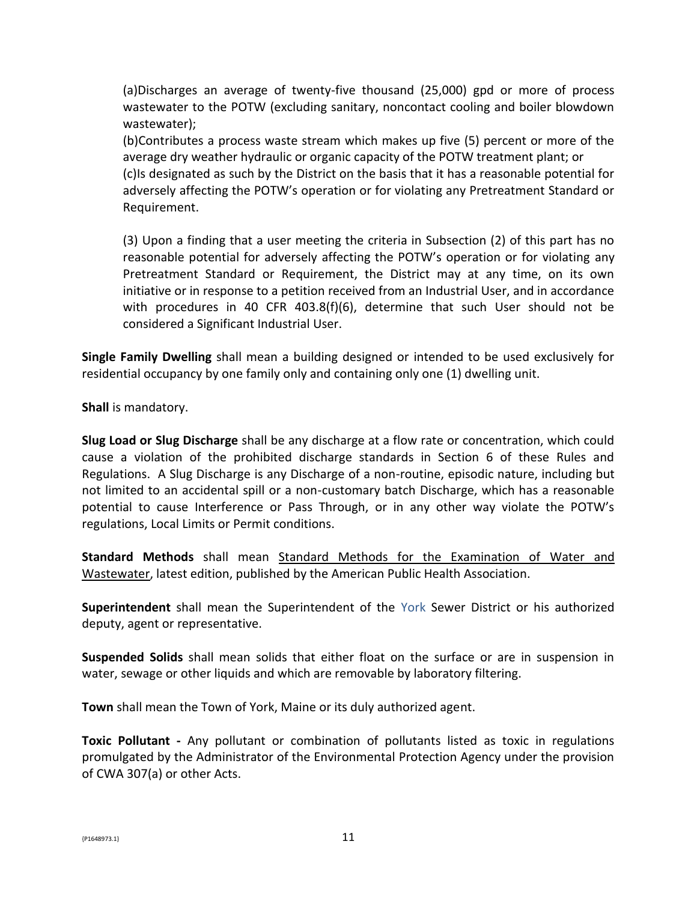(a)Discharges an average of twenty-five thousand (25,000) gpd or more of process wastewater to the POTW (excluding sanitary, noncontact cooling and boiler blowdown wastewater);

(b)Contributes a process waste stream which makes up five (5) percent or more of the average dry weather hydraulic or organic capacity of the POTW treatment plant; or (c)Is designated as such by the District on the basis that it has a reasonable potential for adversely affecting the POTW's operation or for violating any Pretreatment Standard or Requirement.

(3) Upon a finding that a user meeting the criteria in Subsection (2) of this part has no reasonable potential for adversely affecting the POTW's operation or for violating any Pretreatment Standard or Requirement, the District may at any time, on its own initiative or in response to a petition received from an Industrial User, and in accordance with procedures in 40 CFR 403.8(f)(6), determine that such User should not be considered a Significant Industrial User.

**Single Family Dwelling** shall mean a building designed or intended to be used exclusively for residential occupancy by one family only and containing only one (1) dwelling unit.

**Shall** is mandatory.

**Slug Load or Slug Discharge** shall be any discharge at a flow rate or concentration, which could cause a violation of the prohibited discharge standards in Section 6 of these Rules and Regulations. A Slug Discharge is any Discharge of a non-routine, episodic nature, including but not limited to an accidental spill or a non-customary batch Discharge, which has a reasonable potential to cause Interference or Pass Through, or in any other way violate the POTW's regulations, Local Limits or Permit conditions.

**Standard Methods** shall mean Standard Methods for the Examination of Water and Wastewater, latest edition, published by the American Public Health Association.

**Superintendent** shall mean the Superintendent of the York Sewer District or his authorized deputy, agent or representative.

**Suspended Solids** shall mean solids that either float on the surface or are in suspension in water, sewage or other liquids and which are removable by laboratory filtering.

**Town** shall mean the Town of York, Maine or its duly authorized agent.

**Toxic Pollutant -** Any pollutant or combination of pollutants listed as toxic in regulations promulgated by the Administrator of the Environmental Protection Agency under the provision of CWA 307(a) or other Acts.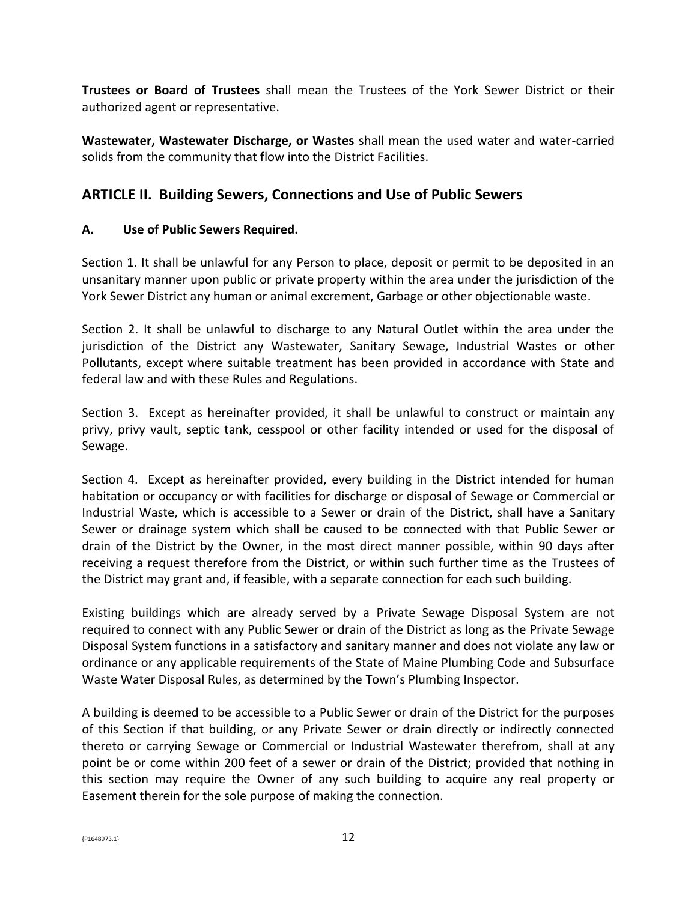**Trustees or Board of Trustees** shall mean the Trustees of the York Sewer District or their authorized agent or representative.

**Wastewater, Wastewater Discharge, or Wastes** shall mean the used water and water-carried solids from the community that flow into the District Facilities.

# **ARTICLE II. Building Sewers, Connections and Use of Public Sewers**

### **A. Use of Public Sewers Required.**

Section 1. It shall be unlawful for any Person to place, deposit or permit to be deposited in an unsanitary manner upon public or private property within the area under the jurisdiction of the York Sewer District any human or animal excrement, Garbage or other objectionable waste.

Section 2. It shall be unlawful to discharge to any Natural Outlet within the area under the jurisdiction of the District any Wastewater, Sanitary Sewage, Industrial Wastes or other Pollutants, except where suitable treatment has been provided in accordance with State and federal law and with these Rules and Regulations.

Section 3. Except as hereinafter provided, it shall be unlawful to construct or maintain any privy, privy vault, septic tank, cesspool or other facility intended or used for the disposal of Sewage.

Section 4. Except as hereinafter provided, every building in the District intended for human habitation or occupancy or with facilities for discharge or disposal of Sewage or Commercial or Industrial Waste, which is accessible to a Sewer or drain of the District, shall have a Sanitary Sewer or drainage system which shall be caused to be connected with that Public Sewer or drain of the District by the Owner, in the most direct manner possible, within 90 days after receiving a request therefore from the District, or within such further time as the Trustees of the District may grant and, if feasible, with a separate connection for each such building.

Existing buildings which are already served by a Private Sewage Disposal System are not required to connect with any Public Sewer or drain of the District as long as the Private Sewage Disposal System functions in a satisfactory and sanitary manner and does not violate any law or ordinance or any applicable requirements of the State of Maine Plumbing Code and Subsurface Waste Water Disposal Rules, as determined by the Town's Plumbing Inspector.

A building is deemed to be accessible to a Public Sewer or drain of the District for the purposes of this Section if that building, or any Private Sewer or drain directly or indirectly connected thereto or carrying Sewage or Commercial or Industrial Wastewater therefrom, shall at any point be or come within 200 feet of a sewer or drain of the District; provided that nothing in this section may require the Owner of any such building to acquire any real property or Easement therein for the sole purpose of making the connection.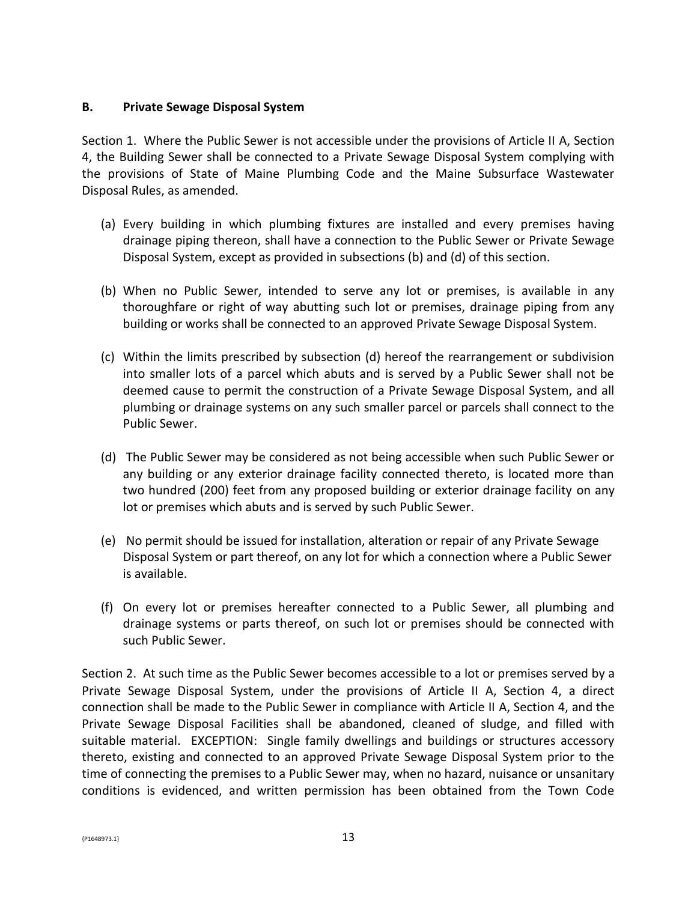#### **B. Private Sewage Disposal System**

Section 1. Where the Public Sewer is not accessible under the provisions of Article II A, Section 4, the Building Sewer shall be connected to a Private Sewage Disposal System complying with the provisions of State of Maine Plumbing Code and the Maine Subsurface Wastewater Disposal Rules, as amended.

- (a) Every building in which plumbing fixtures are installed and every premises having drainage piping thereon, shall have a connection to the Public Sewer or Private Sewage Disposal System, except as provided in subsections (b) and (d) of this section.
- (b) When no Public Sewer, intended to serve any lot or premises, is available in any thoroughfare or right of way abutting such lot or premises, drainage piping from any building or works shall be connected to an approved Private Sewage Disposal System.
- (c) Within the limits prescribed by subsection (d) hereof the rearrangement or subdivision into smaller lots of a parcel which abuts and is served by a Public Sewer shall not be deemed cause to permit the construction of a Private Sewage Disposal System, and all plumbing or drainage systems on any such smaller parcel or parcels shall connect to the Public Sewer.
- (d) The Public Sewer may be considered as not being accessible when such Public Sewer or any building or any exterior drainage facility connected thereto, is located more than two hundred (200) feet from any proposed building or exterior drainage facility on any lot or premises which abuts and is served by such Public Sewer.
- (e) No permit should be issued for installation, alteration or repair of any Private Sewage Disposal System or part thereof, on any lot for which a connection where a Public Sewer is available.
- (f) On every lot or premises hereafter connected to a Public Sewer, all plumbing and drainage systems or parts thereof, on such lot or premises should be connected with such Public Sewer.

Section 2. At such time as the Public Sewer becomes accessible to a lot or premises served by a Private Sewage Disposal System, under the provisions of Article II A, Section 4, a direct connection shall be made to the Public Sewer in compliance with Article II A, Section 4, and the Private Sewage Disposal Facilities shall be abandoned, cleaned of sludge, and filled with suitable material. EXCEPTION: Single family dwellings and buildings or structures accessory thereto, existing and connected to an approved Private Sewage Disposal System prior to the time of connecting the premises to a Public Sewer may, when no hazard, nuisance or unsanitary conditions is evidenced, and written permission has been obtained from the Town Code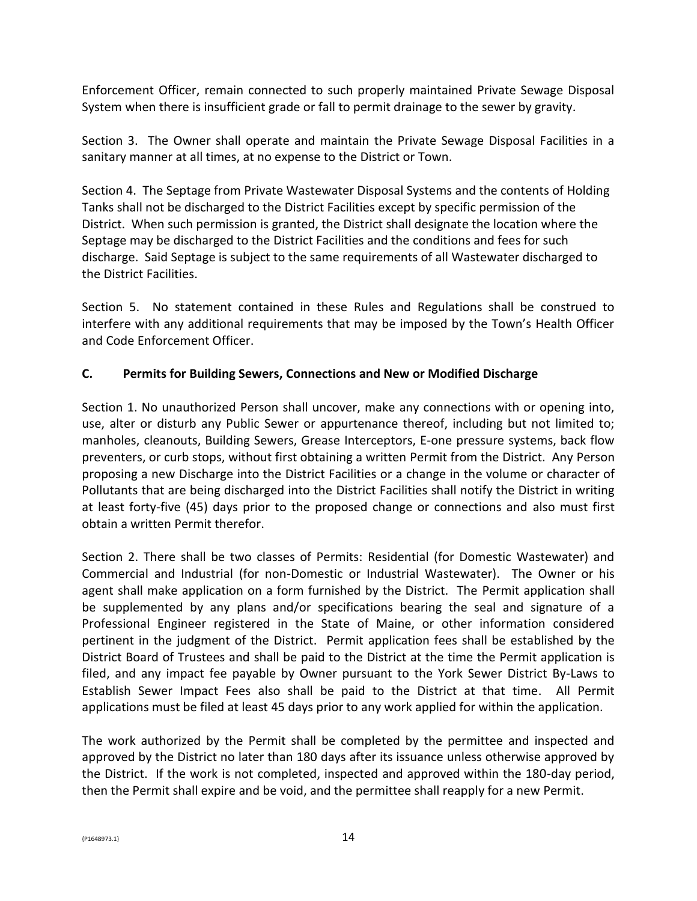Enforcement Officer, remain connected to such properly maintained Private Sewage Disposal System when there is insufficient grade or fall to permit drainage to the sewer by gravity.

Section 3. The Owner shall operate and maintain the Private Sewage Disposal Facilities in a sanitary manner at all times, at no expense to the District or Town.

Section 4. The Septage from Private Wastewater Disposal Systems and the contents of Holding Tanks shall not be discharged to the District Facilities except by specific permission of the District. When such permission is granted, the District shall designate the location where the Septage may be discharged to the District Facilities and the conditions and fees for such discharge. Said Septage is subject to the same requirements of all Wastewater discharged to the District Facilities.

Section 5. No statement contained in these Rules and Regulations shall be construed to interfere with any additional requirements that may be imposed by the Town's Health Officer and Code Enforcement Officer.

### **C. Permits for Building Sewers, Connections and New or Modified Discharge**

Section 1. No unauthorized Person shall uncover, make any connections with or opening into, use, alter or disturb any Public Sewer or appurtenance thereof, including but not limited to; manholes, cleanouts, Building Sewers, Grease Interceptors, E-one pressure systems, back flow preventers, or curb stops, without first obtaining a written Permit from the District. Any Person proposing a new Discharge into the District Facilities or a change in the volume or character of Pollutants that are being discharged into the District Facilities shall notify the District in writing at least forty-five (45) days prior to the proposed change or connections and also must first obtain a written Permit therefor.

Section 2. There shall be two classes of Permits: Residential (for Domestic Wastewater) and Commercial and Industrial (for non-Domestic or Industrial Wastewater). The Owner or his agent shall make application on a form furnished by the District. The Permit application shall be supplemented by any plans and/or specifications bearing the seal and signature of a Professional Engineer registered in the State of Maine, or other information considered pertinent in the judgment of the District. Permit application fees shall be established by the District Board of Trustees and shall be paid to the District at the time the Permit application is filed, and any impact fee payable by Owner pursuant to the York Sewer District By-Laws to Establish Sewer Impact Fees also shall be paid to the District at that time. All Permit applications must be filed at least 45 days prior to any work applied for within the application.

The work authorized by the Permit shall be completed by the permittee and inspected and approved by the District no later than 180 days after its issuance unless otherwise approved by the District. If the work is not completed, inspected and approved within the 180-day period, then the Permit shall expire and be void, and the permittee shall reapply for a new Permit.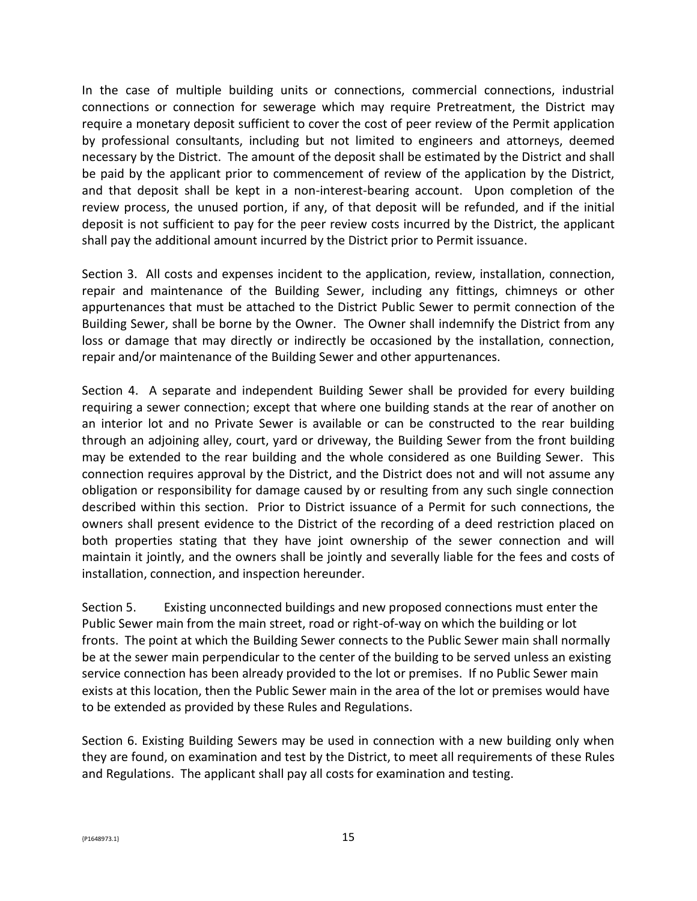In the case of multiple building units or connections, commercial connections, industrial connections or connection for sewerage which may require Pretreatment, the District may require a monetary deposit sufficient to cover the cost of peer review of the Permit application by professional consultants, including but not limited to engineers and attorneys, deemed necessary by the District. The amount of the deposit shall be estimated by the District and shall be paid by the applicant prior to commencement of review of the application by the District, and that deposit shall be kept in a non-interest-bearing account. Upon completion of the review process, the unused portion, if any, of that deposit will be refunded, and if the initial deposit is not sufficient to pay for the peer review costs incurred by the District, the applicant shall pay the additional amount incurred by the District prior to Permit issuance.

Section 3. All costs and expenses incident to the application, review, installation, connection, repair and maintenance of the Building Sewer, including any fittings, chimneys or other appurtenances that must be attached to the District Public Sewer to permit connection of the Building Sewer, shall be borne by the Owner. The Owner shall indemnify the District from any loss or damage that may directly or indirectly be occasioned by the installation, connection, repair and/or maintenance of the Building Sewer and other appurtenances.

Section 4. A separate and independent Building Sewer shall be provided for every building requiring a sewer connection; except that where one building stands at the rear of another on an interior lot and no Private Sewer is available or can be constructed to the rear building through an adjoining alley, court, yard or driveway, the Building Sewer from the front building may be extended to the rear building and the whole considered as one Building Sewer. This connection requires approval by the District, and the District does not and will not assume any obligation or responsibility for damage caused by or resulting from any such single connection described within this section. Prior to District issuance of a Permit for such connections, the owners shall present evidence to the District of the recording of a deed restriction placed on both properties stating that they have joint ownership of the sewer connection and will maintain it jointly, and the owners shall be jointly and severally liable for the fees and costs of installation, connection, and inspection hereunder.

Section 5. Existing unconnected buildings and new proposed connections must enter the Public Sewer main from the main street, road or right-of-way on which the building or lot fronts. The point at which the Building Sewer connects to the Public Sewer main shall normally be at the sewer main perpendicular to the center of the building to be served unless an existing service connection has been already provided to the lot or premises. If no Public Sewer main exists at this location, then the Public Sewer main in the area of the lot or premises would have to be extended as provided by these Rules and Regulations.

Section 6. Existing Building Sewers may be used in connection with a new building only when they are found, on examination and test by the District, to meet all requirements of these Rules and Regulations. The applicant shall pay all costs for examination and testing.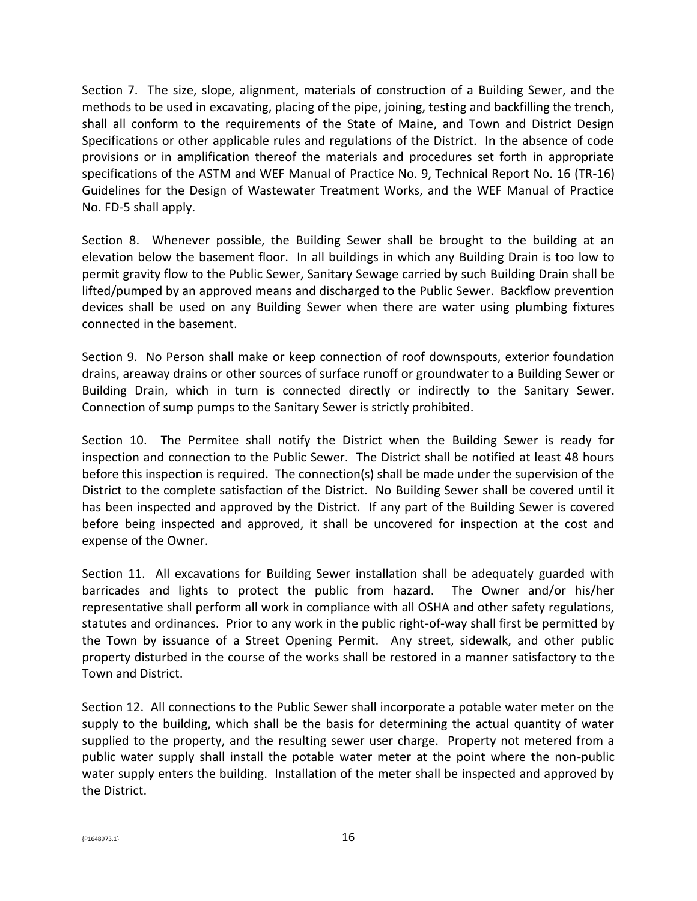Section 7. The size, slope, alignment, materials of construction of a Building Sewer, and the methods to be used in excavating, placing of the pipe, joining, testing and backfilling the trench, shall all conform to the requirements of the State of Maine, and Town and District Design Specifications or other applicable rules and regulations of the District. In the absence of code provisions or in amplification thereof the materials and procedures set forth in appropriate specifications of the ASTM and WEF Manual of Practice No. 9, Technical Report No. 16 (TR-16) Guidelines for the Design of Wastewater Treatment Works, and the WEF Manual of Practice No. FD-5 shall apply.

Section 8. Whenever possible, the Building Sewer shall be brought to the building at an elevation below the basement floor. In all buildings in which any Building Drain is too low to permit gravity flow to the Public Sewer, Sanitary Sewage carried by such Building Drain shall be lifted/pumped by an approved means and discharged to the Public Sewer. Backflow prevention devices shall be used on any Building Sewer when there are water using plumbing fixtures connected in the basement.

Section 9. No Person shall make or keep connection of roof downspouts, exterior foundation drains, areaway drains or other sources of surface runoff or groundwater to a Building Sewer or Building Drain, which in turn is connected directly or indirectly to the Sanitary Sewer. Connection of sump pumps to the Sanitary Sewer is strictly prohibited.

Section 10. The Permitee shall notify the District when the Building Sewer is ready for inspection and connection to the Public Sewer. The District shall be notified at least 48 hours before this inspection is required. The connection(s) shall be made under the supervision of the District to the complete satisfaction of the District. No Building Sewer shall be covered until it has been inspected and approved by the District. If any part of the Building Sewer is covered before being inspected and approved, it shall be uncovered for inspection at the cost and expense of the Owner.

Section 11. All excavations for Building Sewer installation shall be adequately guarded with barricades and lights to protect the public from hazard. The Owner and/or his/her representative shall perform all work in compliance with all OSHA and other safety regulations, statutes and ordinances. Prior to any work in the public right-of-way shall first be permitted by the Town by issuance of a Street Opening Permit. Any street, sidewalk, and other public property disturbed in the course of the works shall be restored in a manner satisfactory to the Town and District.

Section 12. All connections to the Public Sewer shall incorporate a potable water meter on the supply to the building, which shall be the basis for determining the actual quantity of water supplied to the property, and the resulting sewer user charge. Property not metered from a public water supply shall install the potable water meter at the point where the non-public water supply enters the building. Installation of the meter shall be inspected and approved by the District.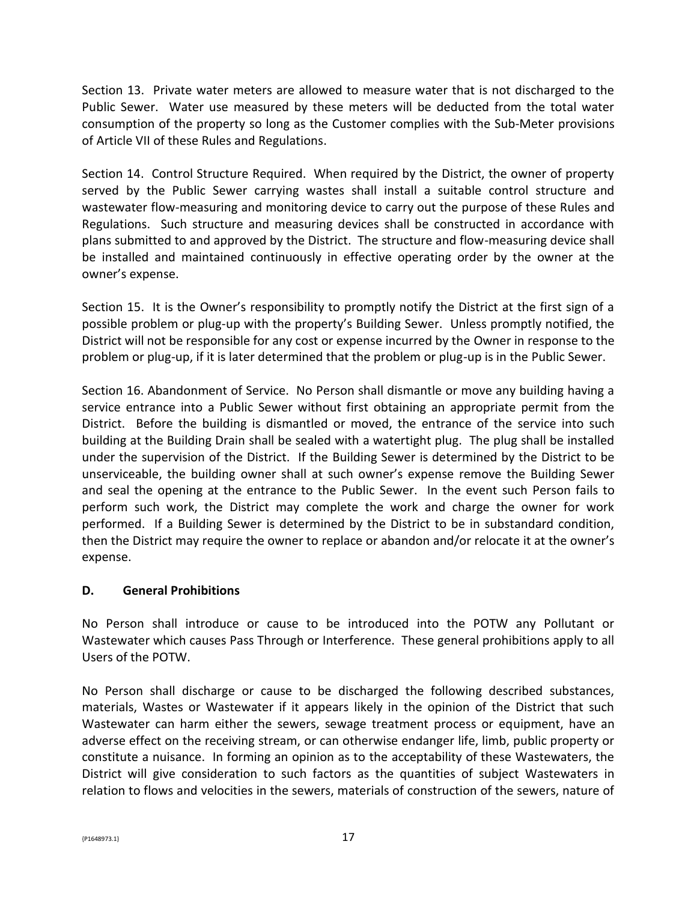Section 13. Private water meters are allowed to measure water that is not discharged to the Public Sewer. Water use measured by these meters will be deducted from the total water consumption of the property so long as the Customer complies with the Sub-Meter provisions of Article VII of these Rules and Regulations.

Section 14. Control Structure Required. When required by the District, the owner of property served by the Public Sewer carrying wastes shall install a suitable control structure and wastewater flow-measuring and monitoring device to carry out the purpose of these Rules and Regulations. Such structure and measuring devices shall be constructed in accordance with plans submitted to and approved by the District. The structure and flow-measuring device shall be installed and maintained continuously in effective operating order by the owner at the owner's expense.

Section 15. It is the Owner's responsibility to promptly notify the District at the first sign of a possible problem or plug-up with the property's Building Sewer. Unless promptly notified, the District will not be responsible for any cost or expense incurred by the Owner in response to the problem or plug-up, if it is later determined that the problem or plug-up is in the Public Sewer.

Section 16. Abandonment of Service. No Person shall dismantle or move any building having a service entrance into a Public Sewer without first obtaining an appropriate permit from the District. Before the building is dismantled or moved, the entrance of the service into such building at the Building Drain shall be sealed with a watertight plug. The plug shall be installed under the supervision of the District. If the Building Sewer is determined by the District to be unserviceable, the building owner shall at such owner's expense remove the Building Sewer and seal the opening at the entrance to the Public Sewer. In the event such Person fails to perform such work, the District may complete the work and charge the owner for work performed. If a Building Sewer is determined by the District to be in substandard condition, then the District may require the owner to replace or abandon and/or relocate it at the owner's expense.

### **D. General Prohibitions**

No Person shall introduce or cause to be introduced into the POTW any Pollutant or Wastewater which causes Pass Through or Interference. These general prohibitions apply to all Users of the POTW.

No Person shall discharge or cause to be discharged the following described substances, materials, Wastes or Wastewater if it appears likely in the opinion of the District that such Wastewater can harm either the sewers, sewage treatment process or equipment, have an adverse effect on the receiving stream, or can otherwise endanger life, limb, public property or constitute a nuisance. In forming an opinion as to the acceptability of these Wastewaters, the District will give consideration to such factors as the quantities of subject Wastewaters in relation to flows and velocities in the sewers, materials of construction of the sewers, nature of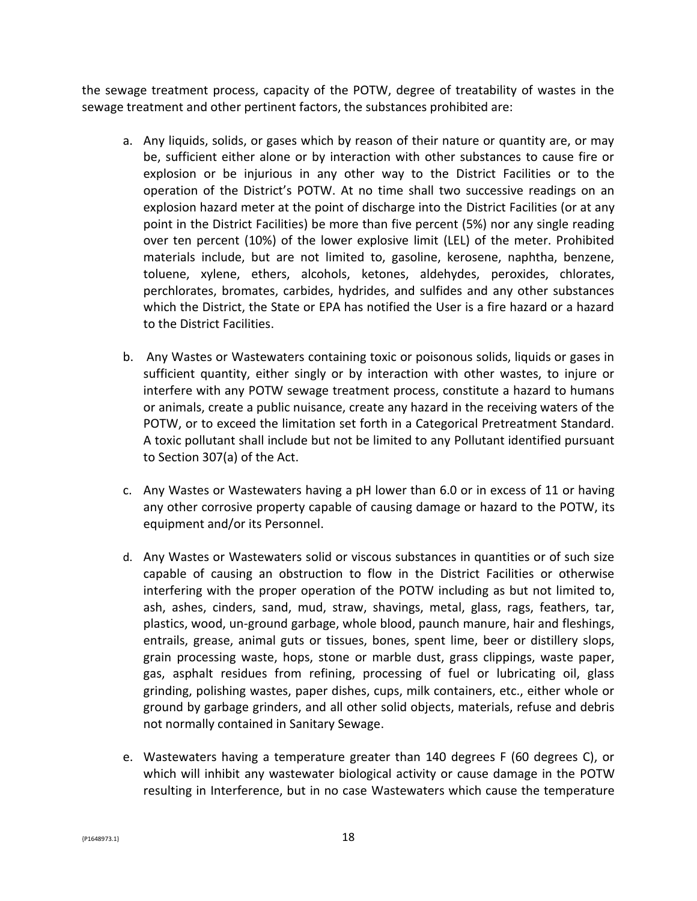the sewage treatment process, capacity of the POTW, degree of treatability of wastes in the sewage treatment and other pertinent factors, the substances prohibited are:

- a. Any liquids, solids, or gases which by reason of their nature or quantity are, or may be, sufficient either alone or by interaction with other substances to cause fire or explosion or be injurious in any other way to the District Facilities or to the operation of the District's POTW. At no time shall two successive readings on an explosion hazard meter at the point of discharge into the District Facilities (or at any point in the District Facilities) be more than five percent (5%) nor any single reading over ten percent (10%) of the lower explosive limit (LEL) of the meter. Prohibited materials include, but are not limited to, gasoline, kerosene, naphtha, benzene, toluene, xylene, ethers, alcohols, ketones, aldehydes, peroxides, chlorates, perchlorates, bromates, carbides, hydrides, and sulfides and any other substances which the District, the State or EPA has notified the User is a fire hazard or a hazard to the District Facilities.
- b. Any Wastes or Wastewaters containing toxic or poisonous solids, liquids or gases in sufficient quantity, either singly or by interaction with other wastes, to injure or interfere with any POTW sewage treatment process, constitute a hazard to humans or animals, create a public nuisance, create any hazard in the receiving waters of the POTW, or to exceed the limitation set forth in a Categorical Pretreatment Standard. A toxic pollutant shall include but not be limited to any Pollutant identified pursuant to Section 307(a) of the Act.
- c. Any Wastes or Wastewaters having a pH lower than 6.0 or in excess of 11 or having any other corrosive property capable of causing damage or hazard to the POTW, its equipment and/or its Personnel.
- d. Any Wastes or Wastewaters solid or viscous substances in quantities or of such size capable of causing an obstruction to flow in the District Facilities or otherwise interfering with the proper operation of the POTW including as but not limited to, ash, ashes, cinders, sand, mud, straw, shavings, metal, glass, rags, feathers, tar, plastics, wood, un-ground garbage, whole blood, paunch manure, hair and fleshings, entrails, grease, animal guts or tissues, bones, spent lime, beer or distillery slops, grain processing waste, hops, stone or marble dust, grass clippings, waste paper, gas, asphalt residues from refining, processing of fuel or lubricating oil, glass grinding, polishing wastes, paper dishes, cups, milk containers, etc., either whole or ground by garbage grinders, and all other solid objects, materials, refuse and debris not normally contained in Sanitary Sewage.
- e. Wastewaters having a temperature greater than 140 degrees F (60 degrees C), or which will inhibit any wastewater biological activity or cause damage in the POTW resulting in Interference, but in no case Wastewaters which cause the temperature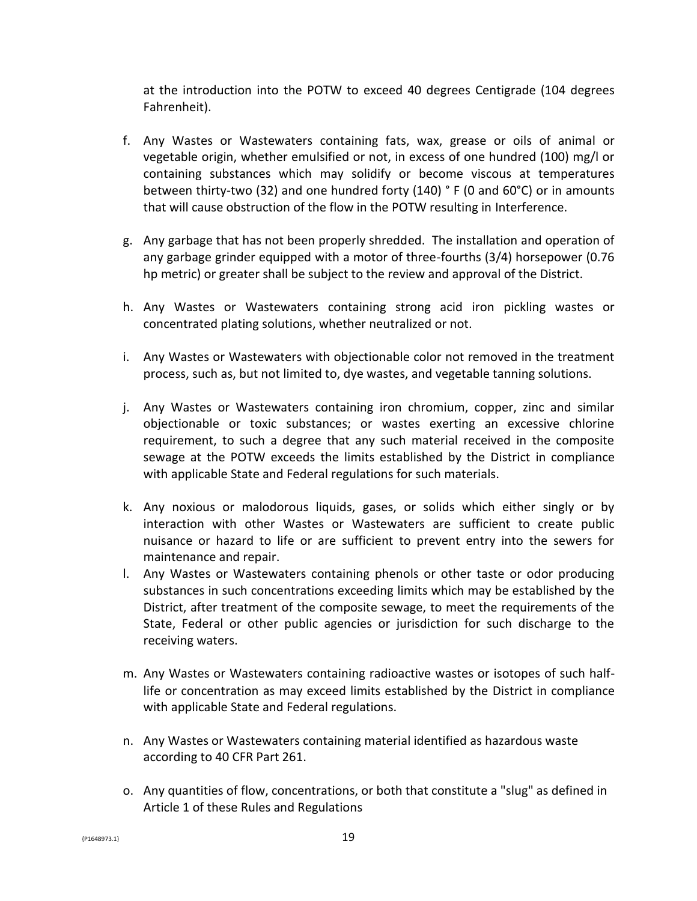at the introduction into the POTW to exceed 40 degrees Centigrade (104 degrees Fahrenheit).

- f. Any Wastes or Wastewaters containing fats, wax, grease or oils of animal or vegetable origin, whether emulsified or not, in excess of one hundred (100) mg/l or containing substances which may solidify or become viscous at temperatures between thirty-two (32) and one hundred forty (140) ° F (0 and 60°C) or in amounts that will cause obstruction of the flow in the POTW resulting in Interference.
- g. Any garbage that has not been properly shredded. The installation and operation of any garbage grinder equipped with a motor of three-fourths (3/4) horsepower (0.76 hp metric) or greater shall be subject to the review and approval of the District.
- h. Any Wastes or Wastewaters containing strong acid iron pickling wastes or concentrated plating solutions, whether neutralized or not.
- i. Any Wastes or Wastewaters with objectionable color not removed in the treatment process, such as, but not limited to, dye wastes, and vegetable tanning solutions.
- j. Any Wastes or Wastewaters containing iron chromium, copper, zinc and similar objectionable or toxic substances; or wastes exerting an excessive chlorine requirement, to such a degree that any such material received in the composite sewage at the POTW exceeds the limits established by the District in compliance with applicable State and Federal regulations for such materials.
- k. Any noxious or malodorous liquids, gases, or solids which either singly or by interaction with other Wastes or Wastewaters are sufficient to create public nuisance or hazard to life or are sufficient to prevent entry into the sewers for maintenance and repair.
- l. Any Wastes or Wastewaters containing phenols or other taste or odor producing substances in such concentrations exceeding limits which may be established by the District, after treatment of the composite sewage, to meet the requirements of the State, Federal or other public agencies or jurisdiction for such discharge to the receiving waters.
- m. Any Wastes or Wastewaters containing radioactive wastes or isotopes of such halflife or concentration as may exceed limits established by the District in compliance with applicable State and Federal regulations.
- n. Any Wastes or Wastewaters containing material identified as hazardous waste according to 40 CFR Part 261.
- o. Any quantities of flow, concentrations, or both that constitute a "slug" as defined in Article 1 of these Rules and Regulations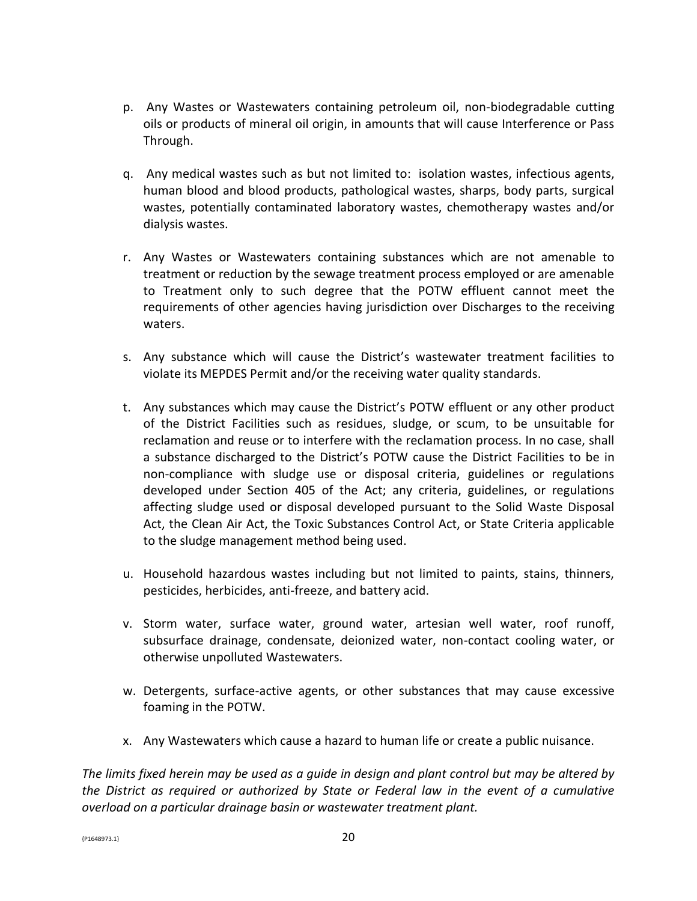- p. Any Wastes or Wastewaters containing petroleum oil, non-biodegradable cutting oils or products of mineral oil origin, in amounts that will cause Interference or Pass Through.
- q. Any medical wastes such as but not limited to: isolation wastes, infectious agents, human blood and blood products, pathological wastes, sharps, body parts, surgical wastes, potentially contaminated laboratory wastes, chemotherapy wastes and/or dialysis wastes.
- r. Any Wastes or Wastewaters containing substances which are not amenable to treatment or reduction by the sewage treatment process employed or are amenable to Treatment only to such degree that the POTW effluent cannot meet the requirements of other agencies having jurisdiction over Discharges to the receiving waters.
- s. Any substance which will cause the District's wastewater treatment facilities to violate its MEPDES Permit and/or the receiving water quality standards.
- t. Any substances which may cause the District's POTW effluent or any other product of the District Facilities such as residues, sludge, or scum, to be unsuitable for reclamation and reuse or to interfere with the reclamation process. In no case, shall a substance discharged to the District's POTW cause the District Facilities to be in non-compliance with sludge use or disposal criteria, guidelines or regulations developed under Section 405 of the Act; any criteria, guidelines, or regulations affecting sludge used or disposal developed pursuant to the Solid Waste Disposal Act, the Clean Air Act, the Toxic Substances Control Act, or State Criteria applicable to the sludge management method being used.
- u. Household hazardous wastes including but not limited to paints, stains, thinners, pesticides, herbicides, anti-freeze, and battery acid.
- v. Storm water, surface water, ground water, artesian well water, roof runoff, subsurface drainage, condensate, deionized water, non-contact cooling water, or otherwise unpolluted Wastewaters.
- w. Detergents, surface-active agents, or other substances that may cause excessive foaming in the POTW.
- x. Any Wastewaters which cause a hazard to human life or create a public nuisance.

*The limits fixed herein may be used as a guide in design and plant control but may be altered by the District as required or authorized by State or Federal law in the event of a cumulative overload on a particular drainage basin or wastewater treatment plant.*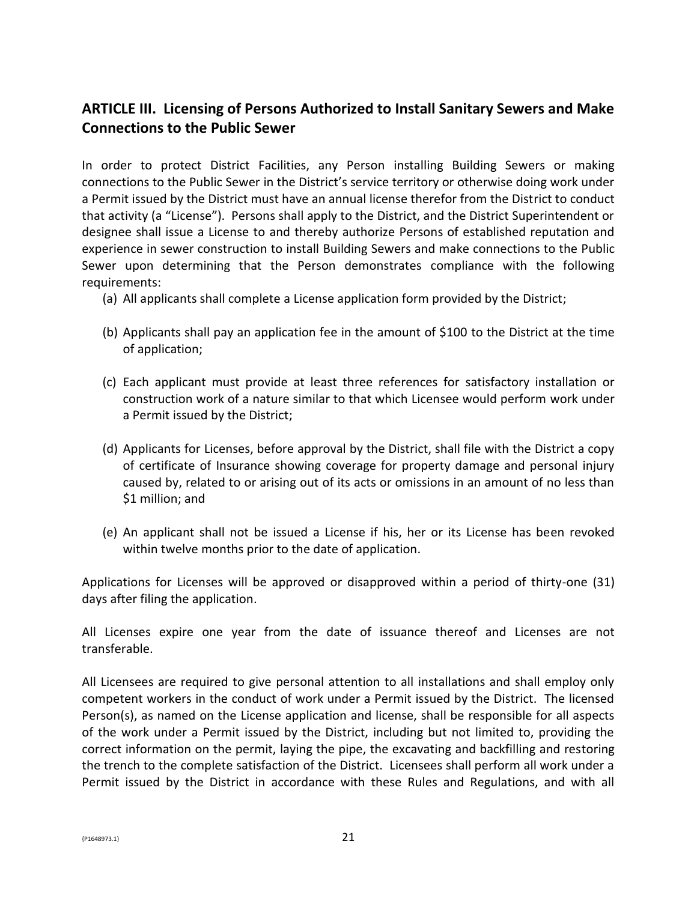# **ARTICLE III. Licensing of Persons Authorized to Install Sanitary Sewers and Make Connections to the Public Sewer**

In order to protect District Facilities, any Person installing Building Sewers or making connections to the Public Sewer in the District's service territory or otherwise doing work under a Permit issued by the District must have an annual license therefor from the District to conduct that activity (a "License"). Persons shall apply to the District, and the District Superintendent or designee shall issue a License to and thereby authorize Persons of established reputation and experience in sewer construction to install Building Sewers and make connections to the Public Sewer upon determining that the Person demonstrates compliance with the following requirements:

- (a) All applicants shall complete a License application form provided by the District;
- (b) Applicants shall pay an application fee in the amount of \$100 to the District at the time of application;
- (c) Each applicant must provide at least three references for satisfactory installation or construction work of a nature similar to that which Licensee would perform work under a Permit issued by the District;
- (d) Applicants for Licenses, before approval by the District, shall file with the District a copy of certificate of Insurance showing coverage for property damage and personal injury caused by, related to or arising out of its acts or omissions in an amount of no less than \$1 million; and
- (e) An applicant shall not be issued a License if his, her or its License has been revoked within twelve months prior to the date of application.

Applications for Licenses will be approved or disapproved within a period of thirty-one (31) days after filing the application.

All Licenses expire one year from the date of issuance thereof and Licenses are not transferable.

All Licensees are required to give personal attention to all installations and shall employ only competent workers in the conduct of work under a Permit issued by the District. The licensed Person(s), as named on the License application and license, shall be responsible for all aspects of the work under a Permit issued by the District, including but not limited to, providing the correct information on the permit, laying the pipe, the excavating and backfilling and restoring the trench to the complete satisfaction of the District. Licensees shall perform all work under a Permit issued by the District in accordance with these Rules and Regulations, and with all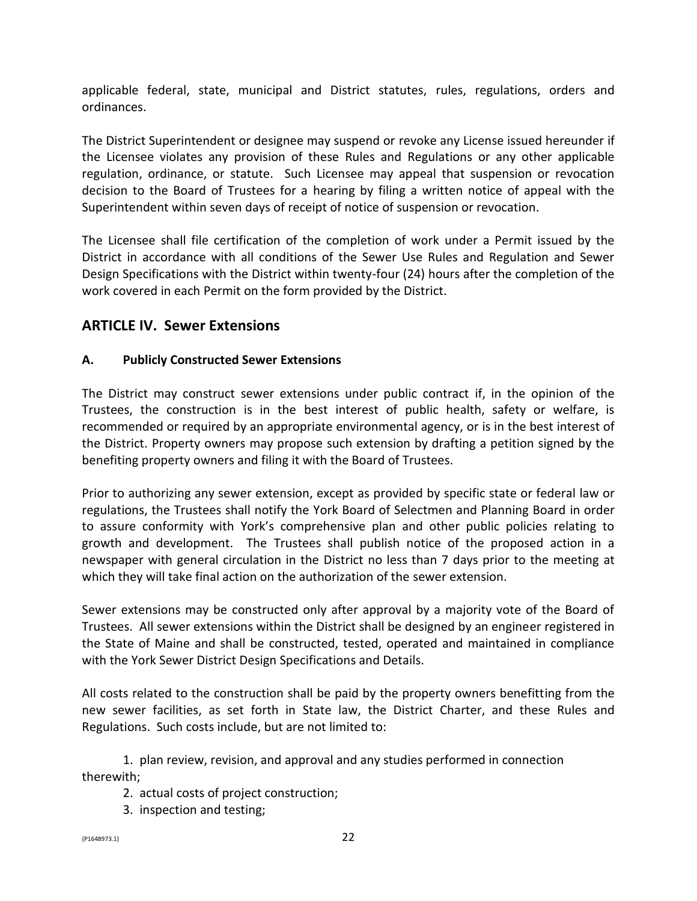applicable federal, state, municipal and District statutes, rules, regulations, orders and ordinances.

The District Superintendent or designee may suspend or revoke any License issued hereunder if the Licensee violates any provision of these Rules and Regulations or any other applicable regulation, ordinance, or statute. Such Licensee may appeal that suspension or revocation decision to the Board of Trustees for a hearing by filing a written notice of appeal with the Superintendent within seven days of receipt of notice of suspension or revocation.

The Licensee shall file certification of the completion of work under a Permit issued by the District in accordance with all conditions of the Sewer Use Rules and Regulation and Sewer Design Specifications with the District within twenty-four (24) hours after the completion of the work covered in each Permit on the form provided by the District.

## **ARTICLE IV. Sewer Extensions**

### **A. Publicly Constructed Sewer Extensions**

The District may construct sewer extensions under public contract if, in the opinion of the Trustees, the construction is in the best interest of public health, safety or welfare, is recommended or required by an appropriate environmental agency, or is in the best interest of the District. Property owners may propose such extension by drafting a petition signed by the benefiting property owners and filing it with the Board of Trustees.

Prior to authorizing any sewer extension, except as provided by specific state or federal law or regulations, the Trustees shall notify the York Board of Selectmen and Planning Board in order to assure conformity with York's comprehensive plan and other public policies relating to growth and development. The Trustees shall publish notice of the proposed action in a newspaper with general circulation in the District no less than 7 days prior to the meeting at which they will take final action on the authorization of the sewer extension.

Sewer extensions may be constructed only after approval by a majority vote of the Board of Trustees. All sewer extensions within the District shall be designed by an engineer registered in the State of Maine and shall be constructed, tested, operated and maintained in compliance with the York Sewer District Design Specifications and Details.

All costs related to the construction shall be paid by the property owners benefitting from the new sewer facilities, as set forth in State law, the District Charter, and these Rules and Regulations. Such costs include, but are not limited to:

1. plan review, revision, and approval and any studies performed in connection therewith;

2. actual costs of project construction;

3. inspection and testing;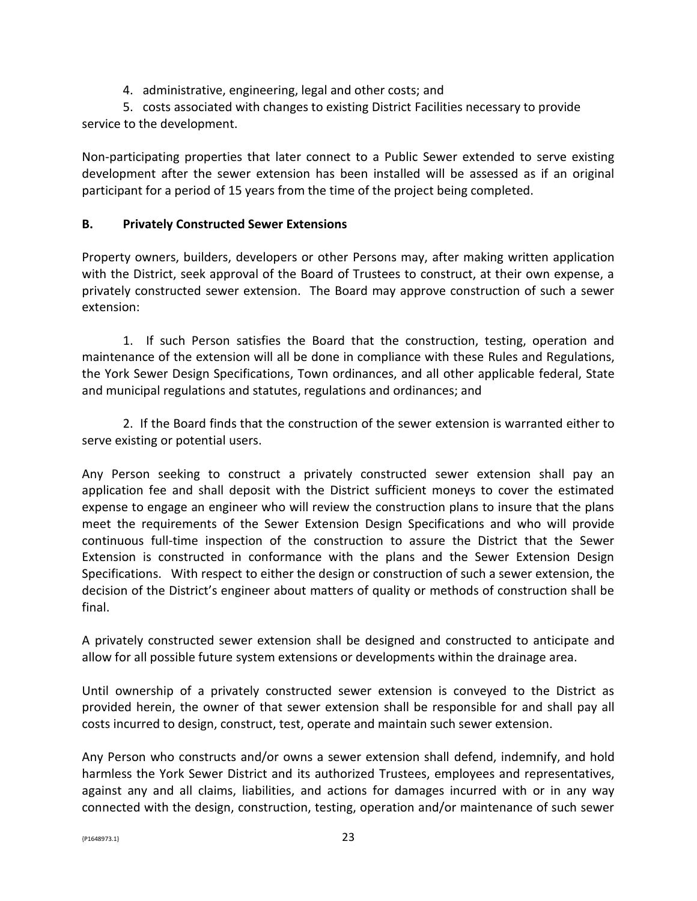4. administrative, engineering, legal and other costs; and

5. costs associated with changes to existing District Facilities necessary to provide service to the development.

Non-participating properties that later connect to a Public Sewer extended to serve existing development after the sewer extension has been installed will be assessed as if an original participant for a period of 15 years from the time of the project being completed.

#### **B. Privately Constructed Sewer Extensions**

Property owners, builders, developers or other Persons may, after making written application with the District, seek approval of the Board of Trustees to construct, at their own expense, a privately constructed sewer extension. The Board may approve construction of such a sewer extension:

1. If such Person satisfies the Board that the construction, testing, operation and maintenance of the extension will all be done in compliance with these Rules and Regulations, the York Sewer Design Specifications, Town ordinances, and all other applicable federal, State and municipal regulations and statutes, regulations and ordinances; and

2. If the Board finds that the construction of the sewer extension is warranted either to serve existing or potential users.

Any Person seeking to construct a privately constructed sewer extension shall pay an application fee and shall deposit with the District sufficient moneys to cover the estimated expense to engage an engineer who will review the construction plans to insure that the plans meet the requirements of the Sewer Extension Design Specifications and who will provide continuous full-time inspection of the construction to assure the District that the Sewer Extension is constructed in conformance with the plans and the Sewer Extension Design Specifications. With respect to either the design or construction of such a sewer extension, the decision of the District's engineer about matters of quality or methods of construction shall be final.

A privately constructed sewer extension shall be designed and constructed to anticipate and allow for all possible future system extensions or developments within the drainage area.

Until ownership of a privately constructed sewer extension is conveyed to the District as provided herein, the owner of that sewer extension shall be responsible for and shall pay all costs incurred to design, construct, test, operate and maintain such sewer extension.

Any Person who constructs and/or owns a sewer extension shall defend, indemnify, and hold harmless the York Sewer District and its authorized Trustees, employees and representatives, against any and all claims, liabilities, and actions for damages incurred with or in any way connected with the design, construction, testing, operation and/or maintenance of such sewer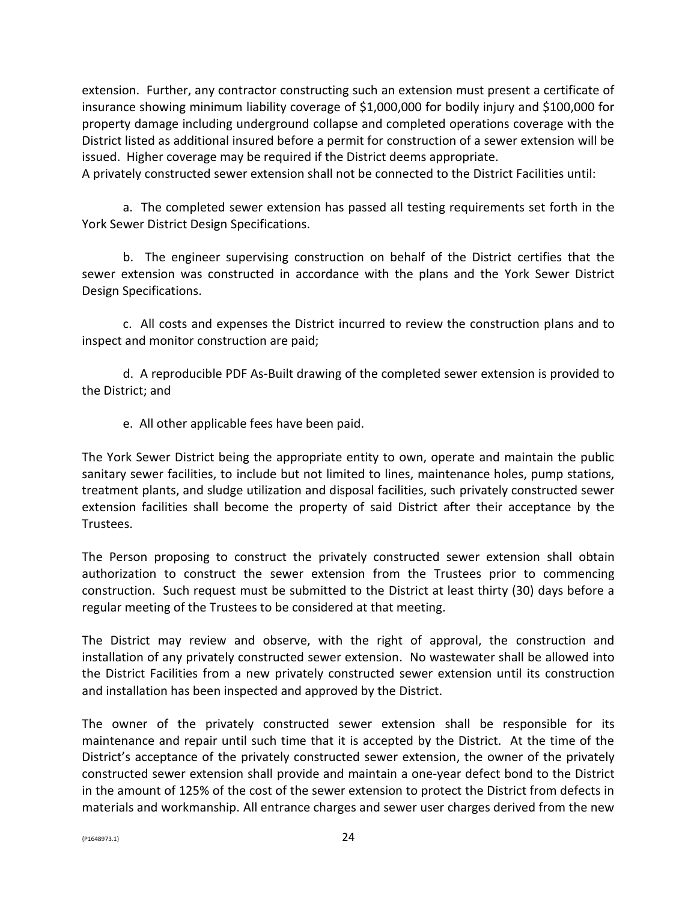extension. Further, any contractor constructing such an extension must present a certificate of insurance showing minimum liability coverage of \$1,000,000 for bodily injury and \$100,000 for property damage including underground collapse and completed operations coverage with the District listed as additional insured before a permit for construction of a sewer extension will be issued. Higher coverage may be required if the District deems appropriate.

A privately constructed sewer extension shall not be connected to the District Facilities until:

a. The completed sewer extension has passed all testing requirements set forth in the York Sewer District Design Specifications.

b. The engineer supervising construction on behalf of the District certifies that the sewer extension was constructed in accordance with the plans and the York Sewer District Design Specifications.

c. All costs and expenses the District incurred to review the construction plans and to inspect and monitor construction are paid;

d. A reproducible PDF As-Built drawing of the completed sewer extension is provided to the District; and

e. All other applicable fees have been paid.

The York Sewer District being the appropriate entity to own, operate and maintain the public sanitary sewer facilities, to include but not limited to lines, maintenance holes, pump stations, treatment plants, and sludge utilization and disposal facilities, such privately constructed sewer extension facilities shall become the property of said District after their acceptance by the Trustees.

The Person proposing to construct the privately constructed sewer extension shall obtain authorization to construct the sewer extension from the Trustees prior to commencing construction. Such request must be submitted to the District at least thirty (30) days before a regular meeting of the Trustees to be considered at that meeting.

The District may review and observe, with the right of approval, the construction and installation of any privately constructed sewer extension. No wastewater shall be allowed into the District Facilities from a new privately constructed sewer extension until its construction and installation has been inspected and approved by the District.

The owner of the privately constructed sewer extension shall be responsible for its maintenance and repair until such time that it is accepted by the District. At the time of the District's acceptance of the privately constructed sewer extension, the owner of the privately constructed sewer extension shall provide and maintain a one-year defect bond to the District in the amount of 125% of the cost of the sewer extension to protect the District from defects in materials and workmanship. All entrance charges and sewer user charges derived from the new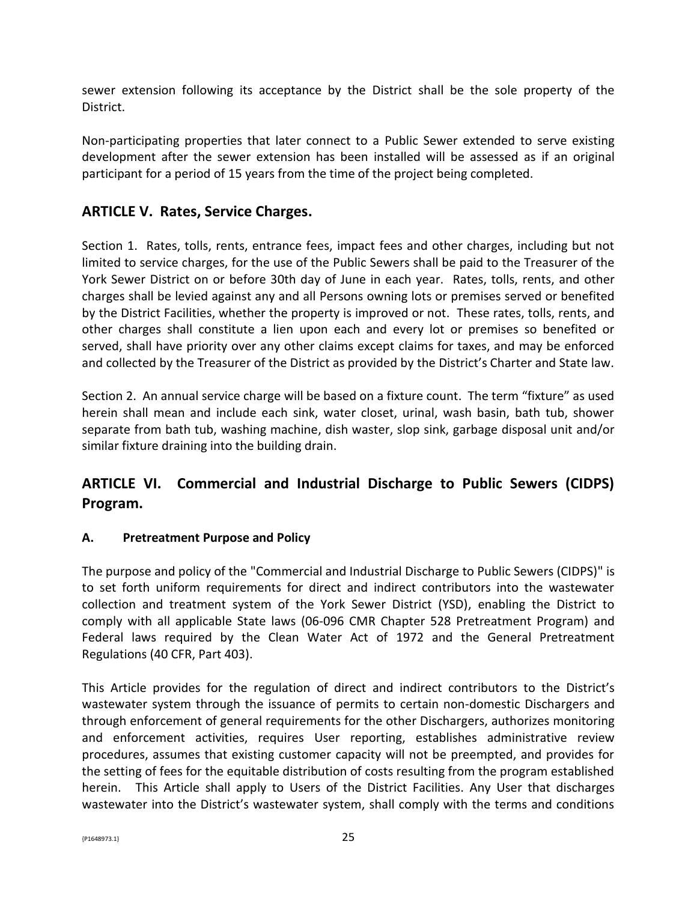sewer extension following its acceptance by the District shall be the sole property of the District.

Non-participating properties that later connect to a Public Sewer extended to serve existing development after the sewer extension has been installed will be assessed as if an original participant for a period of 15 years from the time of the project being completed.

# **ARTICLE V. Rates, Service Charges.**

Section 1. Rates, tolls, rents, entrance fees, impact fees and other charges, including but not limited to service charges, for the use of the Public Sewers shall be paid to the Treasurer of the York Sewer District on or before 30th day of June in each year. Rates, tolls, rents, and other charges shall be levied against any and all Persons owning lots or premises served or benefited by the District Facilities, whether the property is improved or not. These rates, tolls, rents, and other charges shall constitute a lien upon each and every lot or premises so benefited or served, shall have priority over any other claims except claims for taxes, and may be enforced and collected by the Treasurer of the District as provided by the District's Charter and State law.

Section 2. An annual service charge will be based on a fixture count. The term "fixture" as used herein shall mean and include each sink, water closet, urinal, wash basin, bath tub, shower separate from bath tub, washing machine, dish waster, slop sink, garbage disposal unit and/or similar fixture draining into the building drain.

# **ARTICLE VI. Commercial and Industrial Discharge to Public Sewers (CIDPS) Program.**

### **A. Pretreatment Purpose and Policy**

The purpose and policy of the "Commercial and Industrial Discharge to Public Sewers (CIDPS)" is to set forth uniform requirements for direct and indirect contributors into the wastewater collection and treatment system of the York Sewer District (YSD), enabling the District to comply with all applicable State laws (06-096 CMR Chapter 528 Pretreatment Program) and Federal laws required by the Clean Water Act of 1972 and the General Pretreatment Regulations (40 CFR, Part 403).

This Article provides for the regulation of direct and indirect contributors to the District's wastewater system through the issuance of permits to certain non-domestic Dischargers and through enforcement of general requirements for the other Dischargers, authorizes monitoring and enforcement activities, requires User reporting, establishes administrative review procedures, assumes that existing customer capacity will not be preempted, and provides for the setting of fees for the equitable distribution of costs resulting from the program established herein. This Article shall apply to Users of the District Facilities. Any User that discharges wastewater into the District's wastewater system, shall comply with the terms and conditions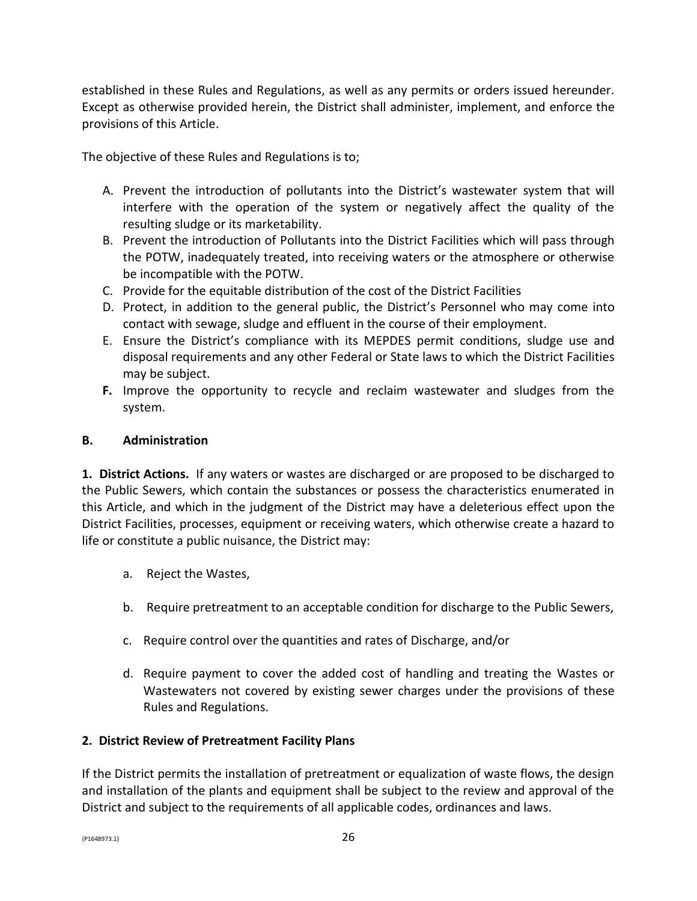established in these Rules and Regulations, as well as any permits or orders issued hereunder. Except as otherwise provided herein, the District shall administer, implement, and enforce the provisions of this Article.

The objective of these Rules and Regulations is to;

- A. Prevent the introduction of pollutants into the District's wastewater system that will interfere with the operation of the system or negatively affect the quality of the resulting sludge or its marketability.
- B. Prevent the introduction of Pollutants into the District Facilities which will pass through the POTW, inadequately treated, into receiving waters or the atmosphere or otherwise be incompatible with the POTW.
- C. Provide for the equitable distribution of the cost of the District Facilities
- D. Protect, in addition to the general public, the District's Personnel who may come into contact with sewage, sludge and effluent in the course of their employment.
- E. Ensure the District's compliance with its MEPDES permit conditions, sludge use and disposal requirements and any other Federal or State laws to which the District Facilities may be subject.
- **F.** Improve the opportunity to recycle and reclaim wastewater and sludges from the system.

### **B. Administration**

**1. District Actions.** If any waters or wastes are discharged or are proposed to be discharged to the Public Sewers, which contain the substances or possess the characteristics enumerated in this Article, and which in the judgment of the District may have a deleterious effect upon the District Facilities, processes, equipment or receiving waters, which otherwise create a hazard to life or constitute a public nuisance, the District may:

- a. Reject the Wastes,
- b. Require pretreatment to an acceptable condition for discharge to the Public Sewers,
- c. Require control over the quantities and rates of Discharge, and/or
- d. Require payment to cover the added cost of handling and treating the Wastes or Wastewaters not covered by existing sewer charges under the provisions of these Rules and Regulations.

### **2. District Review of Pretreatment Facility Plans**

If the District permits the installation of pretreatment or equalization of waste flows, the design and installation of the plants and equipment shall be subject to the review and approval of the District and subject to the requirements of all applicable codes, ordinances and laws.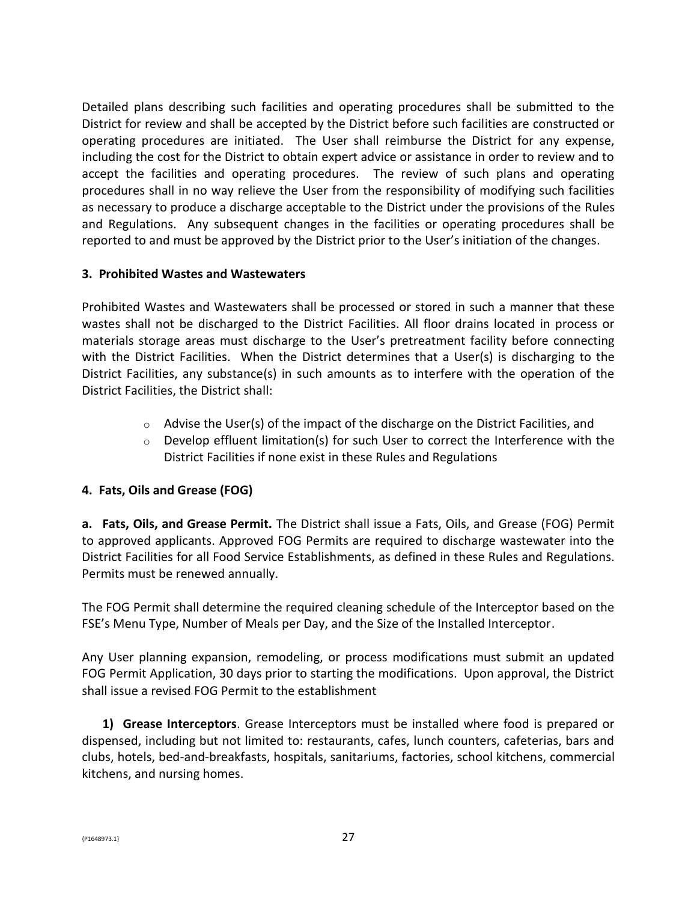Detailed plans describing such facilities and operating procedures shall be submitted to the District for review and shall be accepted by the District before such facilities are constructed or operating procedures are initiated. The User shall reimburse the District for any expense, including the cost for the District to obtain expert advice or assistance in order to review and to accept the facilities and operating procedures. The review of such plans and operating procedures shall in no way relieve the User from the responsibility of modifying such facilities as necessary to produce a discharge acceptable to the District under the provisions of the Rules and Regulations. Any subsequent changes in the facilities or operating procedures shall be reported to and must be approved by the District prior to the User's initiation of the changes.

### **3. Prohibited Wastes and Wastewaters**

Prohibited Wastes and Wastewaters shall be processed or stored in such a manner that these wastes shall not be discharged to the District Facilities. All floor drains located in process or materials storage areas must discharge to the User's pretreatment facility before connecting with the District Facilities. When the District determines that a User(s) is discharging to the District Facilities, any substance(s) in such amounts as to interfere with the operation of the District Facilities, the District shall:

- $\circ$  Advise the User(s) of the impact of the discharge on the District Facilities, and
- $\circ$  Develop effluent limitation(s) for such User to correct the Interference with the District Facilities if none exist in these Rules and Regulations

### **4. Fats, Oils and Grease (FOG)**

**a. Fats, Oils, and Grease Permit.** The District shall issue a Fats, Oils, and Grease (FOG) Permit to approved applicants. Approved FOG Permits are required to discharge wastewater into the District Facilities for all Food Service Establishments, as defined in these Rules and Regulations. Permits must be renewed annually.

The FOG Permit shall determine the required cleaning schedule of the Interceptor based on the FSE's Menu Type, Number of Meals per Day, and the Size of the Installed Interceptor.

Any User planning expansion, remodeling, or process modifications must submit an updated FOG Permit Application, 30 days prior to starting the modifications. Upon approval, the District shall issue a revised FOG Permit to the establishment

**1) Grease Interceptors**. Grease Interceptors must be installed where food is prepared or dispensed, including but not limited to: restaurants, cafes, lunch counters, cafeterias, bars and clubs, hotels, bed-and-breakfasts, hospitals, sanitariums, factories, school kitchens, commercial kitchens, and nursing homes.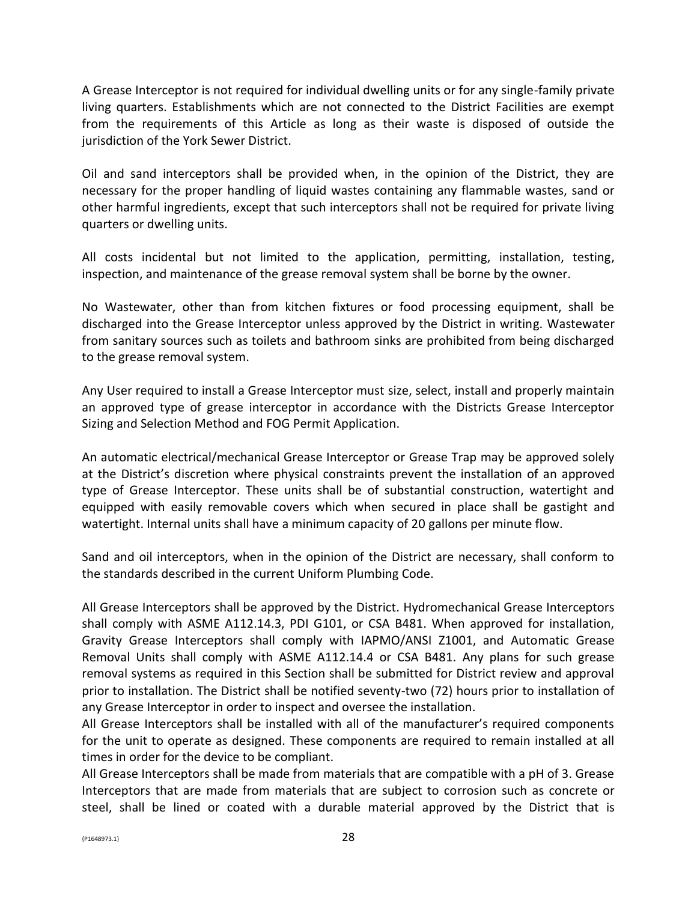A Grease Interceptor is not required for individual dwelling units or for any single-family private living quarters. Establishments which are not connected to the District Facilities are exempt from the requirements of this Article as long as their waste is disposed of outside the jurisdiction of the York Sewer District.

Oil and sand interceptors shall be provided when, in the opinion of the District, they are necessary for the proper handling of liquid wastes containing any flammable wastes, sand or other harmful ingredients, except that such interceptors shall not be required for private living quarters or dwelling units.

All costs incidental but not limited to the application, permitting, installation, testing, inspection, and maintenance of the grease removal system shall be borne by the owner.

No Wastewater, other than from kitchen fixtures or food processing equipment, shall be discharged into the Grease Interceptor unless approved by the District in writing. Wastewater from sanitary sources such as toilets and bathroom sinks are prohibited from being discharged to the grease removal system.

Any User required to install a Grease Interceptor must size, select, install and properly maintain an approved type of grease interceptor in accordance with the Districts Grease Interceptor Sizing and Selection Method and FOG Permit Application.

An automatic electrical/mechanical Grease Interceptor or Grease Trap may be approved solely at the District's discretion where physical constraints prevent the installation of an approved type of Grease Interceptor. These units shall be of substantial construction, watertight and equipped with easily removable covers which when secured in place shall be gastight and watertight. Internal units shall have a minimum capacity of 20 gallons per minute flow.

Sand and oil interceptors, when in the opinion of the District are necessary, shall conform to the standards described in the current Uniform Plumbing Code.

All Grease Interceptors shall be approved by the District. Hydromechanical Grease Interceptors shall comply with ASME A112.14.3, PDI G101, or CSA B481. When approved for installation, Gravity Grease Interceptors shall comply with IAPMO/ANSI Z1001, and Automatic Grease Removal Units shall comply with ASME A112.14.4 or CSA B481. Any plans for such grease removal systems as required in this Section shall be submitted for District review and approval prior to installation. The District shall be notified seventy-two (72) hours prior to installation of any Grease Interceptor in order to inspect and oversee the installation.

All Grease Interceptors shall be installed with all of the manufacturer's required components for the unit to operate as designed. These components are required to remain installed at all times in order for the device to be compliant.

All Grease Interceptors shall be made from materials that are compatible with a pH of 3. Grease Interceptors that are made from materials that are subject to corrosion such as concrete or steel, shall be lined or coated with a durable material approved by the District that is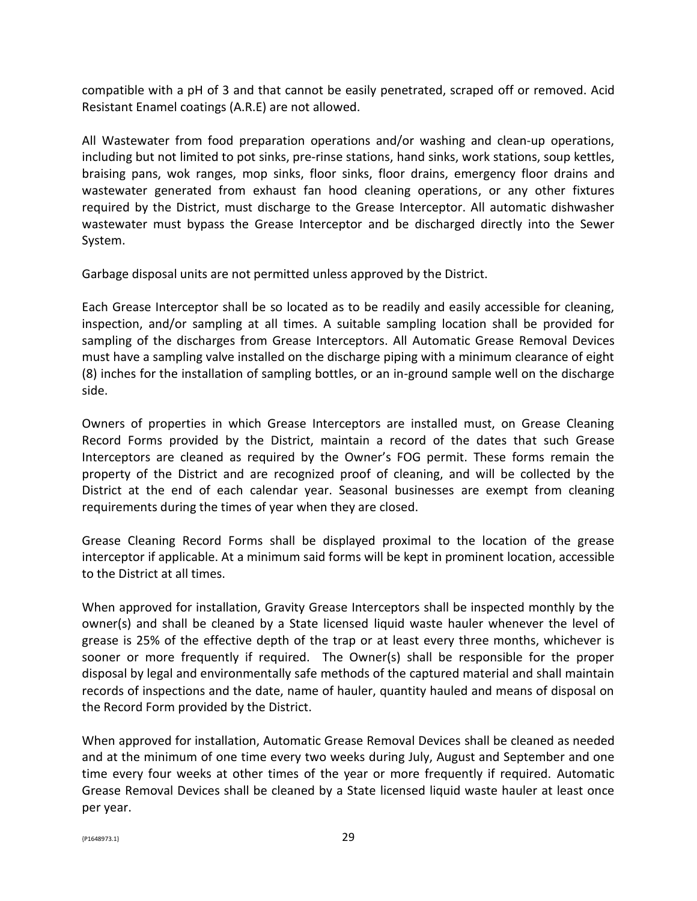compatible with a pH of 3 and that cannot be easily penetrated, scraped off or removed. Acid Resistant Enamel coatings (A.R.E) are not allowed.

All Wastewater from food preparation operations and/or washing and clean‐up operations, including but not limited to pot sinks, pre-rinse stations, hand sinks, work stations, soup kettles, braising pans, wok ranges, mop sinks, floor sinks, floor drains, emergency floor drains and wastewater generated from exhaust fan hood cleaning operations, or any other fixtures required by the District, must discharge to the Grease Interceptor. All automatic dishwasher wastewater must bypass the Grease Interceptor and be discharged directly into the Sewer System.

Garbage disposal units are not permitted unless approved by the District.

Each Grease Interceptor shall be so located as to be readily and easily accessible for cleaning, inspection, and/or sampling at all times. A suitable sampling location shall be provided for sampling of the discharges from Grease Interceptors. All Automatic Grease Removal Devices must have a sampling valve installed on the discharge piping with a minimum clearance of eight (8) inches for the installation of sampling bottles, or an in-ground sample well on the discharge side.

Owners of properties in which Grease Interceptors are installed must, on Grease Cleaning Record Forms provided by the District, maintain a record of the dates that such Grease Interceptors are cleaned as required by the Owner's FOG permit. These forms remain the property of the District and are recognized proof of cleaning, and will be collected by the District at the end of each calendar year. Seasonal businesses are exempt from cleaning requirements during the times of year when they are closed.

Grease Cleaning Record Forms shall be displayed proximal to the location of the grease interceptor if applicable. At a minimum said forms will be kept in prominent location, accessible to the District at all times.

When approved for installation, Gravity Grease Interceptors shall be inspected monthly by the owner(s) and shall be cleaned by a State licensed liquid waste hauler whenever the level of grease is 25% of the effective depth of the trap or at least every three months, whichever is sooner or more frequently if required. The Owner(s) shall be responsible for the proper disposal by legal and environmentally safe methods of the captured material and shall maintain records of inspections and the date, name of hauler, quantity hauled and means of disposal on the Record Form provided by the District.

When approved for installation, Automatic Grease Removal Devices shall be cleaned as needed and at the minimum of one time every two weeks during July, August and September and one time every four weeks at other times of the year or more frequently if required. Automatic Grease Removal Devices shall be cleaned by a State licensed liquid waste hauler at least once per year.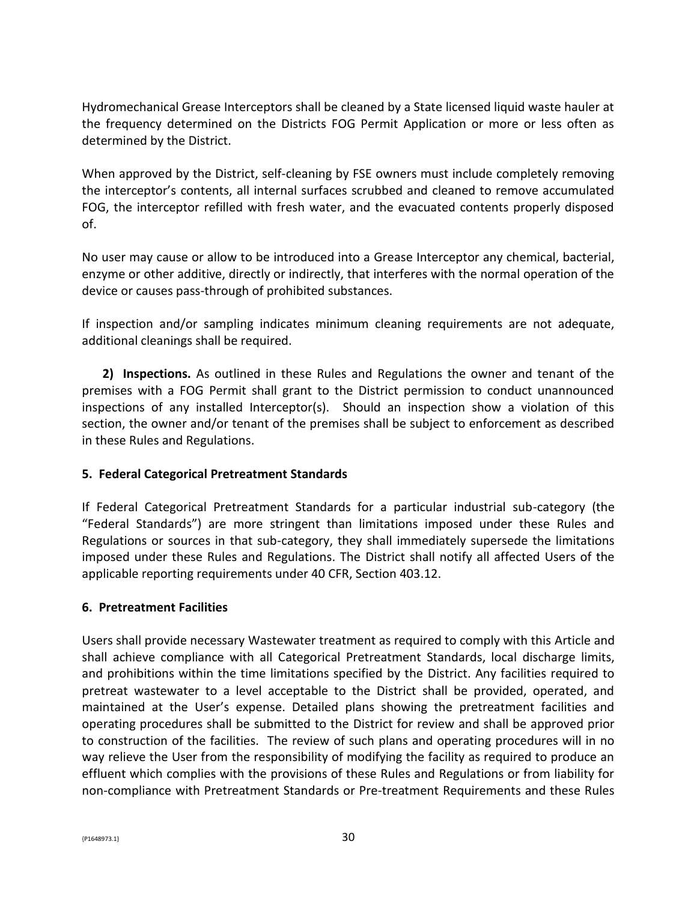Hydromechanical Grease Interceptors shall be cleaned by a State licensed liquid waste hauler at the frequency determined on the Districts FOG Permit Application or more or less often as determined by the District.

When approved by the District, self-cleaning by FSE owners must include completely removing the interceptor's contents, all internal surfaces scrubbed and cleaned to remove accumulated FOG, the interceptor refilled with fresh water, and the evacuated contents properly disposed of.

No user may cause or allow to be introduced into a Grease Interceptor any chemical, bacterial, enzyme or other additive, directly or indirectly, that interferes with the normal operation of the device or causes pass-through of prohibited substances.

If inspection and/or sampling indicates minimum cleaning requirements are not adequate, additional cleanings shall be required.

**2) Inspections.** As outlined in these Rules and Regulations the owner and tenant of the premises with a FOG Permit shall grant to the District permission to conduct unannounced inspections of any installed Interceptor(s). Should an inspection show a violation of this section, the owner and/or tenant of the premises shall be subject to enforcement as described in these Rules and Regulations.

### **5. Federal Categorical Pretreatment Standards**

If Federal Categorical Pretreatment Standards for a particular industrial sub-category (the "Federal Standards") are more stringent than limitations imposed under these Rules and Regulations or sources in that sub-category, they shall immediately supersede the limitations imposed under these Rules and Regulations. The District shall notify all affected Users of the applicable reporting requirements under 40 CFR, Section 403.12.

### **6. Pretreatment Facilities**

Users shall provide necessary Wastewater treatment as required to comply with this Article and shall achieve compliance with all Categorical Pretreatment Standards, local discharge limits, and prohibitions within the time limitations specified by the District. Any facilities required to pretreat wastewater to a level acceptable to the District shall be provided, operated, and maintained at the User's expense. Detailed plans showing the pretreatment facilities and operating procedures shall be submitted to the District for review and shall be approved prior to construction of the facilities. The review of such plans and operating procedures will in no way relieve the User from the responsibility of modifying the facility as required to produce an effluent which complies with the provisions of these Rules and Regulations or from liability for non-compliance with Pretreatment Standards or Pre-treatment Requirements and these Rules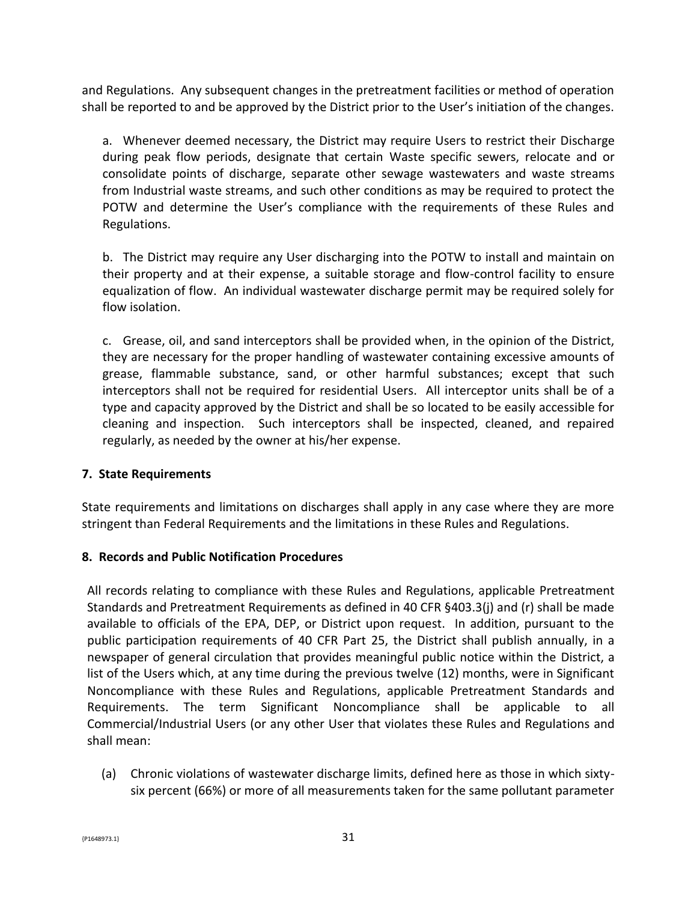and Regulations. Any subsequent changes in the pretreatment facilities or method of operation shall be reported to and be approved by the District prior to the User's initiation of the changes.

a. Whenever deemed necessary, the District may require Users to restrict their Discharge during peak flow periods, designate that certain Waste specific sewers, relocate and or consolidate points of discharge, separate other sewage wastewaters and waste streams from Industrial waste streams, and such other conditions as may be required to protect the POTW and determine the User's compliance with the requirements of these Rules and Regulations.

b. The District may require any User discharging into the POTW to install and maintain on their property and at their expense, a suitable storage and flow-control facility to ensure equalization of flow. An individual wastewater discharge permit may be required solely for flow isolation.

c. Grease, oil, and sand interceptors shall be provided when, in the opinion of the District, they are necessary for the proper handling of wastewater containing excessive amounts of grease, flammable substance, sand, or other harmful substances; except that such interceptors shall not be required for residential Users. All interceptor units shall be of a type and capacity approved by the District and shall be so located to be easily accessible for cleaning and inspection. Such interceptors shall be inspected, cleaned, and repaired regularly, as needed by the owner at his/her expense.

### **7. State Requirements**

State requirements and limitations on discharges shall apply in any case where they are more stringent than Federal Requirements and the limitations in these Rules and Regulations.

### **8. Records and Public Notification Procedures**

All records relating to compliance with these Rules and Regulations, applicable Pretreatment Standards and Pretreatment Requirements as defined in 40 CFR §403.3(j) and (r) shall be made available to officials of the EPA, DEP, or District upon request. In addition, pursuant to the public participation requirements of 40 CFR Part 25, the District shall publish annually, in a newspaper of general circulation that provides meaningful public notice within the District, a list of the Users which, at any time during the previous twelve (12) months, were in Significant Noncompliance with these Rules and Regulations, applicable Pretreatment Standards and Requirements. The term Significant Noncompliance shall be applicable to all Commercial/Industrial Users (or any other User that violates these Rules and Regulations and shall mean:

(a) Chronic violations of wastewater discharge limits, defined here as those in which sixtysix percent (66%) or more of all measurements taken for the same pollutant parameter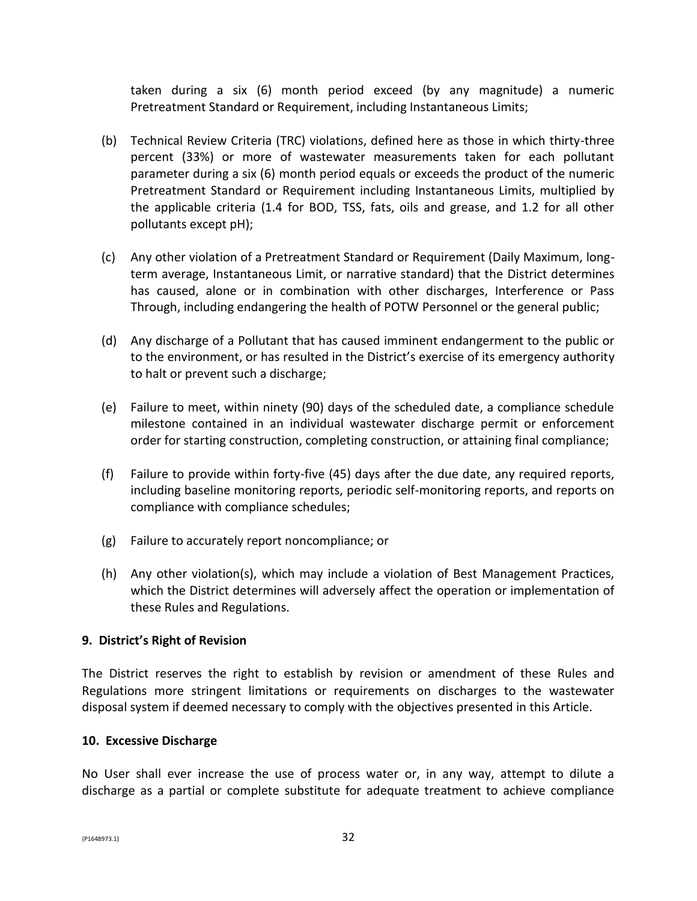taken during a six (6) month period exceed (by any magnitude) a numeric Pretreatment Standard or Requirement, including Instantaneous Limits;

- (b) Technical Review Criteria (TRC) violations, defined here as those in which thirty-three percent (33%) or more of wastewater measurements taken for each pollutant parameter during a six (6) month period equals or exceeds the product of the numeric Pretreatment Standard or Requirement including Instantaneous Limits, multiplied by the applicable criteria (1.4 for BOD, TSS, fats, oils and grease, and 1.2 for all other pollutants except pH);
- (c) Any other violation of a Pretreatment Standard or Requirement (Daily Maximum, longterm average, Instantaneous Limit, or narrative standard) that the District determines has caused, alone or in combination with other discharges, Interference or Pass Through, including endangering the health of POTW Personnel or the general public;
- (d) Any discharge of a Pollutant that has caused imminent endangerment to the public or to the environment, or has resulted in the District's exercise of its emergency authority to halt or prevent such a discharge;
- (e) Failure to meet, within ninety (90) days of the scheduled date, a compliance schedule milestone contained in an individual wastewater discharge permit or enforcement order for starting construction, completing construction, or attaining final compliance;
- (f) Failure to provide within forty-five (45) days after the due date, any required reports, including baseline monitoring reports, periodic self-monitoring reports, and reports on compliance with compliance schedules;
- (g) Failure to accurately report noncompliance; or
- (h) Any other violation(s), which may include a violation of Best Management Practices, which the District determines will adversely affect the operation or implementation of these Rules and Regulations.

### **9. District's Right of Revision**

The District reserves the right to establish by revision or amendment of these Rules and Regulations more stringent limitations or requirements on discharges to the wastewater disposal system if deemed necessary to comply with the objectives presented in this Article.

#### **10. Excessive Discharge**

No User shall ever increase the use of process water or, in any way, attempt to dilute a discharge as a partial or complete substitute for adequate treatment to achieve compliance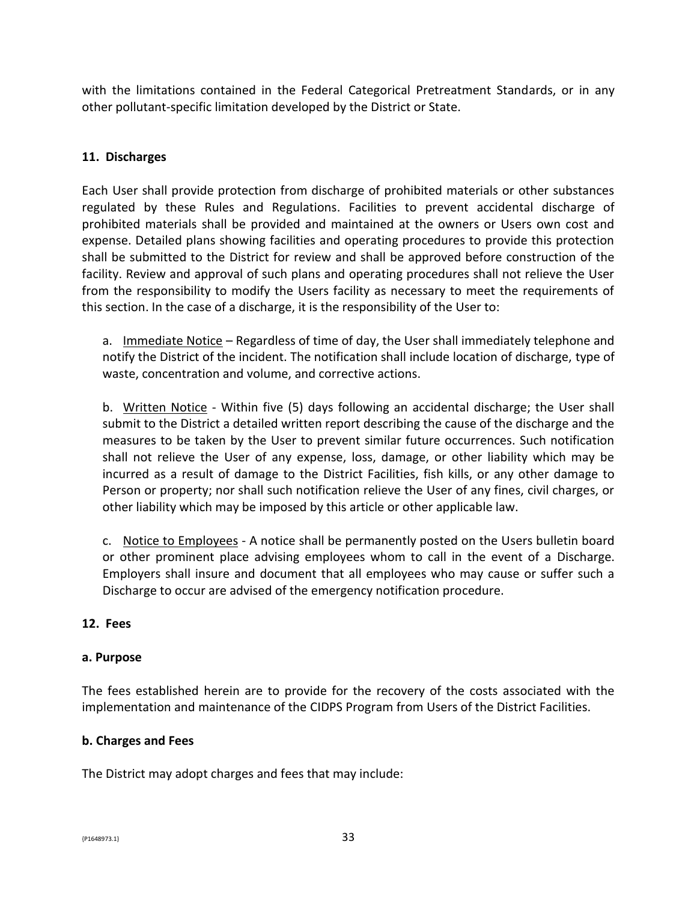with the limitations contained in the Federal Categorical Pretreatment Standards, or in any other pollutant-specific limitation developed by the District or State.

### **11. Discharges**

Each User shall provide protection from discharge of prohibited materials or other substances regulated by these Rules and Regulations. Facilities to prevent accidental discharge of prohibited materials shall be provided and maintained at the owners or Users own cost and expense. Detailed plans showing facilities and operating procedures to provide this protection shall be submitted to the District for review and shall be approved before construction of the facility. Review and approval of such plans and operating procedures shall not relieve the User from the responsibility to modify the Users facility as necessary to meet the requirements of this section. In the case of a discharge, it is the responsibility of the User to:

a. Immediate Notice – Regardless of time of day, the User shall immediately telephone and notify the District of the incident. The notification shall include location of discharge, type of waste, concentration and volume, and corrective actions.

b. Written Notice - Within five (5) days following an accidental discharge; the User shall submit to the District a detailed written report describing the cause of the discharge and the measures to be taken by the User to prevent similar future occurrences. Such notification shall not relieve the User of any expense, loss, damage, or other liability which may be incurred as a result of damage to the District Facilities, fish kills, or any other damage to Person or property; nor shall such notification relieve the User of any fines, civil charges, or other liability which may be imposed by this article or other applicable law.

c. Notice to Employees - A notice shall be permanently posted on the Users bulletin board or other prominent place advising employees whom to call in the event of a Discharge. Employers shall insure and document that all employees who may cause or suffer such a Discharge to occur are advised of the emergency notification procedure.

### **12. Fees**

#### **a. Purpose**

The fees established herein are to provide for the recovery of the costs associated with the implementation and maintenance of the CIDPS Program from Users of the District Facilities.

### **b. Charges and Fees**

The District may adopt charges and fees that may include: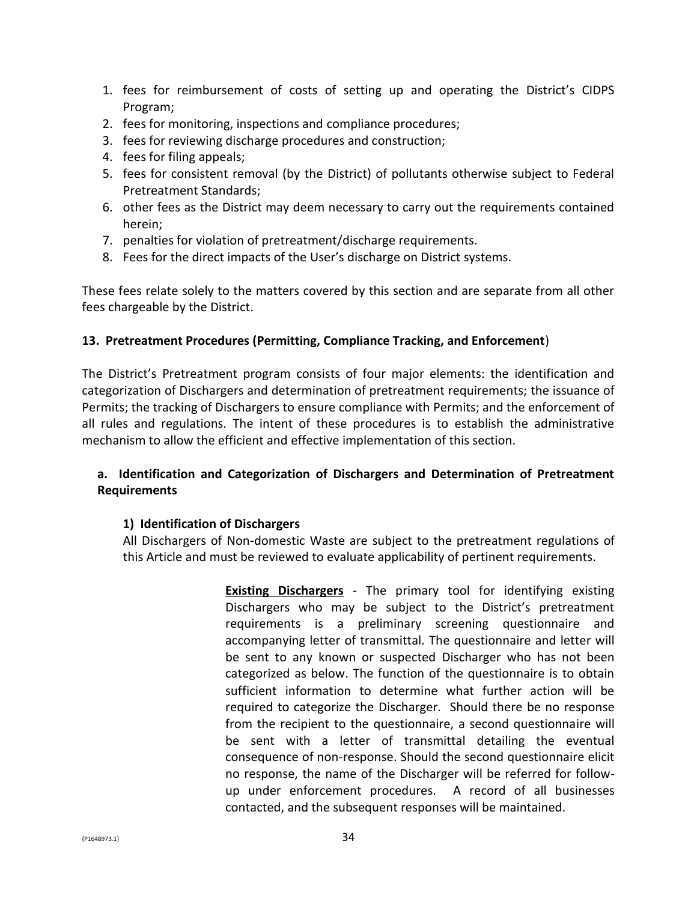- 1. fees for reimbursement of costs of setting up and operating the District's CIDPS Program;
- 2. fees for monitoring, inspections and compliance procedures;
- 3. fees for reviewing discharge procedures and construction;
- 4. fees for filing appeals;
- 5. fees for consistent removal (by the District) of pollutants otherwise subject to Federal Pretreatment Standards;
- 6. other fees as the District may deem necessary to carry out the requirements contained herein;
- 7. penalties for violation of pretreatment/discharge requirements.
- 8. Fees for the direct impacts of the User's discharge on District systems.

These fees relate solely to the matters covered by this section and are separate from all other fees chargeable by the District.

#### **13. Pretreatment Procedures (Permitting, Compliance Tracking, and Enforcement**)

The District's Pretreatment program consists of four major elements: the identification and categorization of Dischargers and determination of pretreatment requirements; the issuance of Permits; the tracking of Dischargers to ensure compliance with Permits; and the enforcement of all rules and regulations. The intent of these procedures is to establish the administrative mechanism to allow the efficient and effective implementation of this section.

### **a. Identification and Categorization of Dischargers and Determination of Pretreatment Requirements**

#### **1) Identification of Dischargers**

All Dischargers of Non-domestic Waste are subject to the pretreatment regulations of this Article and must be reviewed to evaluate applicability of pertinent requirements.

> **Existing Dischargers** - The primary tool for identifying existing Dischargers who may be subject to the District's pretreatment requirements is a preliminary screening questionnaire and accompanying letter of transmittal. The questionnaire and letter will be sent to any known or suspected Discharger who has not been categorized as below. The function of the questionnaire is to obtain sufficient information to determine what further action will be required to categorize the Discharger. Should there be no response from the recipient to the questionnaire, a second questionnaire will be sent with a letter of transmittal detailing the eventual consequence of non-response. Should the second questionnaire elicit no response, the name of the Discharger will be referred for followup under enforcement procedures. A record of all businesses contacted, and the subsequent responses will be maintained.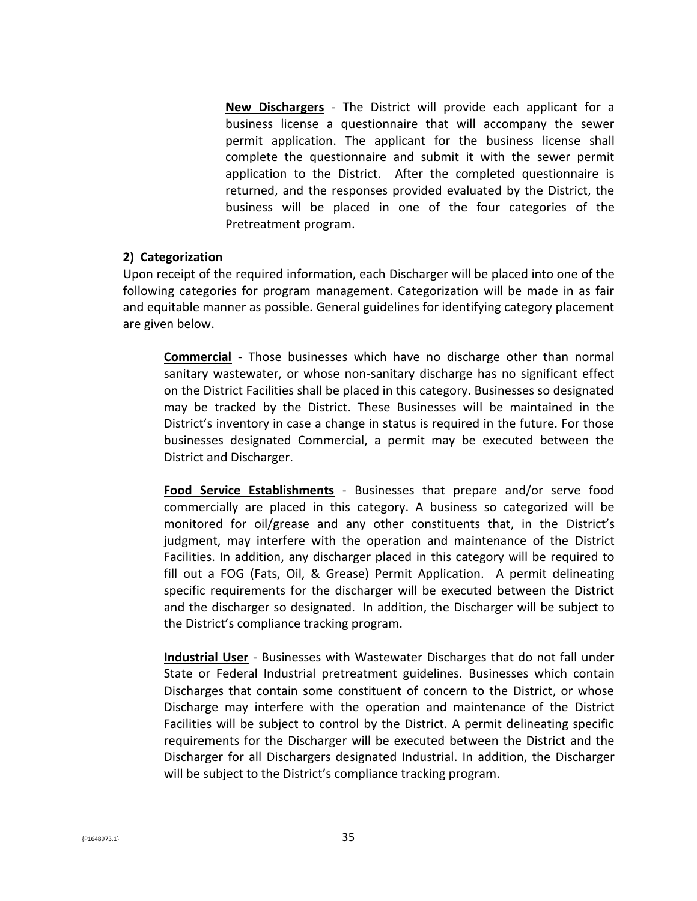**New Dischargers** - The District will provide each applicant for a business license a questionnaire that will accompany the sewer permit application. The applicant for the business license shall complete the questionnaire and submit it with the sewer permit application to the District. After the completed questionnaire is returned, and the responses provided evaluated by the District, the business will be placed in one of the four categories of the Pretreatment program.

#### **2) Categorization**

Upon receipt of the required information, each Discharger will be placed into one of the following categories for program management. Categorization will be made in as fair and equitable manner as possible. General guidelines for identifying category placement are given below.

**Commercial** - Those businesses which have no discharge other than normal sanitary wastewater, or whose non-sanitary discharge has no significant effect on the District Facilities shall be placed in this category. Businesses so designated may be tracked by the District. These Businesses will be maintained in the District's inventory in case a change in status is required in the future. For those businesses designated Commercial, a permit may be executed between the District and Discharger.

**Food Service Establishments** - Businesses that prepare and/or serve food commercially are placed in this category. A business so categorized will be monitored for oil/grease and any other constituents that, in the District's judgment, may interfere with the operation and maintenance of the District Facilities. In addition, any discharger placed in this category will be required to fill out a FOG (Fats, Oil, & Grease) Permit Application. A permit delineating specific requirements for the discharger will be executed between the District and the discharger so designated. In addition, the Discharger will be subject to the District's compliance tracking program.

**Industrial User** - Businesses with Wastewater Discharges that do not fall under State or Federal Industrial pretreatment guidelines. Businesses which contain Discharges that contain some constituent of concern to the District, or whose Discharge may interfere with the operation and maintenance of the District Facilities will be subject to control by the District. A permit delineating specific requirements for the Discharger will be executed between the District and the Discharger for all Dischargers designated Industrial. In addition, the Discharger will be subject to the District's compliance tracking program.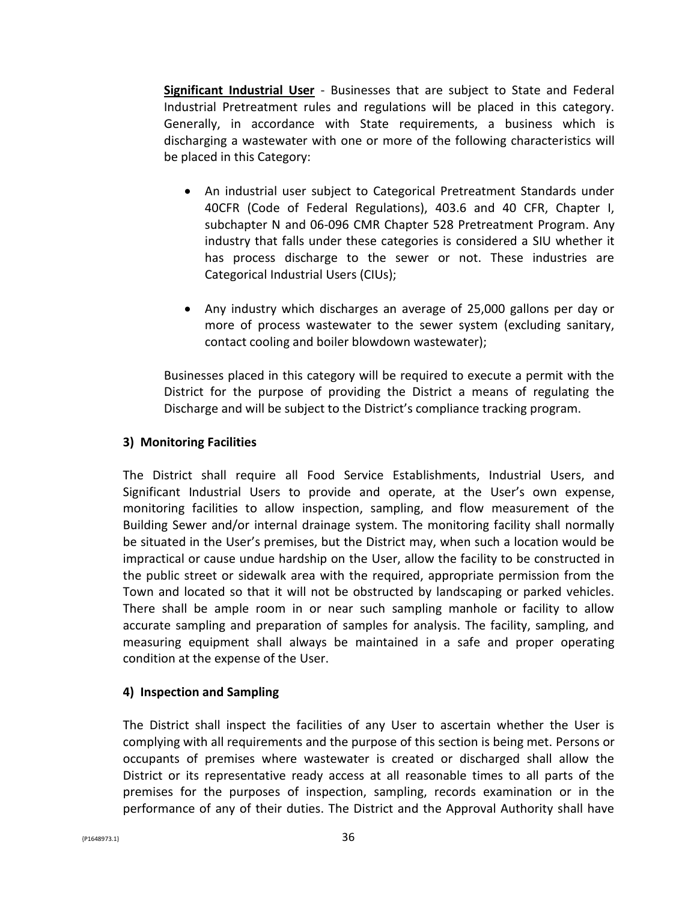**Significant Industrial User** - Businesses that are subject to State and Federal Industrial Pretreatment rules and regulations will be placed in this category. Generally, in accordance with State requirements, a business which is discharging a wastewater with one or more of the following characteristics will be placed in this Category:

- An industrial user subject to Categorical Pretreatment Standards under 40CFR (Code of Federal Regulations), 403.6 and 40 CFR, Chapter I, subchapter N and 06-096 CMR Chapter 528 Pretreatment Program. Any industry that falls under these categories is considered a SIU whether it has process discharge to the sewer or not. These industries are Categorical Industrial Users (CIUs);
- Any industry which discharges an average of 25,000 gallons per day or more of process wastewater to the sewer system (excluding sanitary, contact cooling and boiler blowdown wastewater);

Businesses placed in this category will be required to execute a permit with the District for the purpose of providing the District a means of regulating the Discharge and will be subject to the District's compliance tracking program.

### **3) Monitoring Facilities**

The District shall require all Food Service Establishments, Industrial Users, and Significant Industrial Users to provide and operate, at the User's own expense, monitoring facilities to allow inspection, sampling, and flow measurement of the Building Sewer and/or internal drainage system. The monitoring facility shall normally be situated in the User's premises, but the District may, when such a location would be impractical or cause undue hardship on the User, allow the facility to be constructed in the public street or sidewalk area with the required, appropriate permission from the Town and located so that it will not be obstructed by landscaping or parked vehicles. There shall be ample room in or near such sampling manhole or facility to allow accurate sampling and preparation of samples for analysis. The facility, sampling, and measuring equipment shall always be maintained in a safe and proper operating condition at the expense of the User.

### **4) Inspection and Sampling**

The District shall inspect the facilities of any User to ascertain whether the User is complying with all requirements and the purpose of this section is being met. Persons or occupants of premises where wastewater is created or discharged shall allow the District or its representative ready access at all reasonable times to all parts of the premises for the purposes of inspection, sampling, records examination or in the performance of any of their duties. The District and the Approval Authority shall have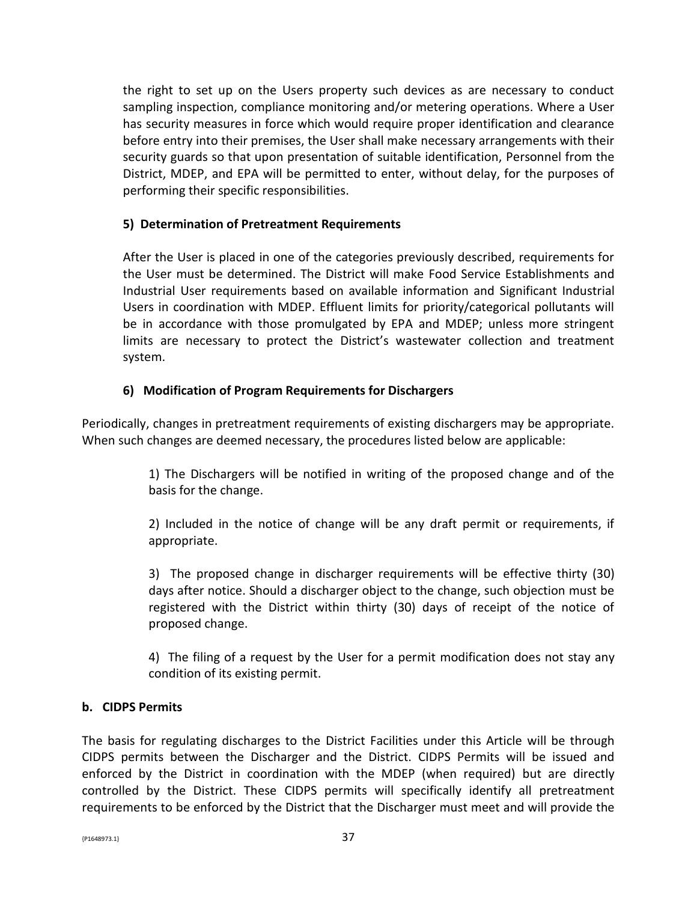the right to set up on the Users property such devices as are necessary to conduct sampling inspection, compliance monitoring and/or metering operations. Where a User has security measures in force which would require proper identification and clearance before entry into their premises, the User shall make necessary arrangements with their security guards so that upon presentation of suitable identification, Personnel from the District, MDEP, and EPA will be permitted to enter, without delay, for the purposes of performing their specific responsibilities.

### **5) Determination of Pretreatment Requirements**

After the User is placed in one of the categories previously described, requirements for the User must be determined. The District will make Food Service Establishments and Industrial User requirements based on available information and Significant Industrial Users in coordination with MDEP. Effluent limits for priority/categorical pollutants will be in accordance with those promulgated by EPA and MDEP; unless more stringent limits are necessary to protect the District's wastewater collection and treatment system.

### **6) Modification of Program Requirements for Dischargers**

Periodically, changes in pretreatment requirements of existing dischargers may be appropriate. When such changes are deemed necessary, the procedures listed below are applicable:

> 1) The Dischargers will be notified in writing of the proposed change and of the basis for the change.

> 2) Included in the notice of change will be any draft permit or requirements, if appropriate.

> 3) The proposed change in discharger requirements will be effective thirty (30) days after notice. Should a discharger object to the change, such objection must be registered with the District within thirty (30) days of receipt of the notice of proposed change.

> 4) The filing of a request by the User for a permit modification does not stay any condition of its existing permit.

#### **b. CIDPS Permits**

The basis for regulating discharges to the District Facilities under this Article will be through CIDPS permits between the Discharger and the District. CIDPS Permits will be issued and enforced by the District in coordination with the MDEP (when required) but are directly controlled by the District. These CIDPS permits will specifically identify all pretreatment requirements to be enforced by the District that the Discharger must meet and will provide the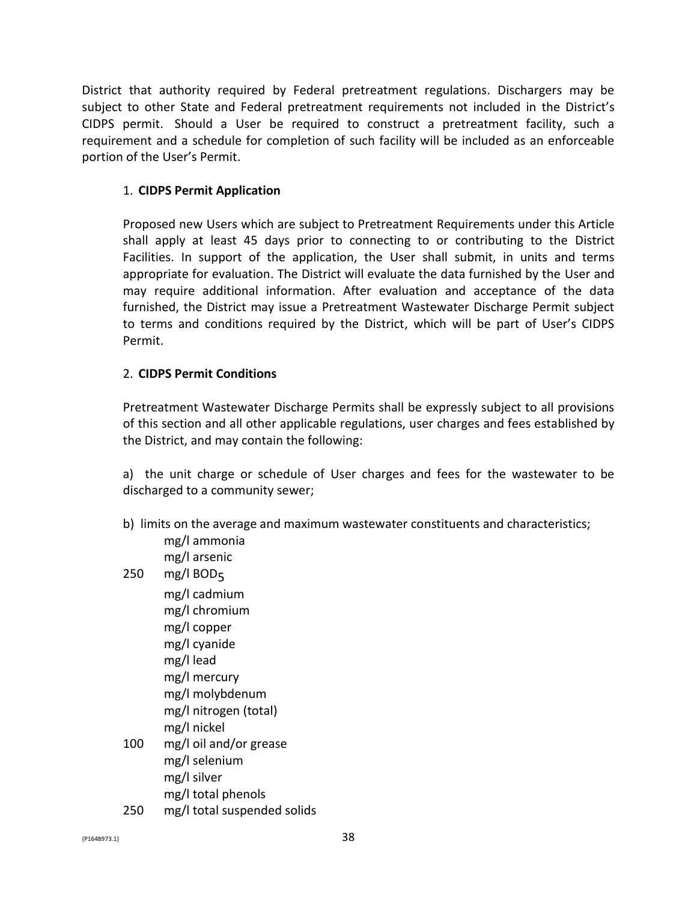District that authority required by Federal pretreatment regulations. Dischargers may be subject to other State and Federal pretreatment requirements not included in the District's CIDPS permit. Should a User be required to construct a pretreatment facility, such a requirement and a schedule for completion of such facility will be included as an enforceable portion of the User's Permit.

### 1. **CIDPS Permit Application**

Proposed new Users which are subject to Pretreatment Requirements under this Article shall apply at least 45 days prior to connecting to or contributing to the District Facilities. In support of the application, the User shall submit, in units and terms appropriate for evaluation. The District will evaluate the data furnished by the User and may require additional information. After evaluation and acceptance of the data furnished, the District may issue a Pretreatment Wastewater Discharge Permit subject to terms and conditions required by the District, which will be part of User's CIDPS Permit.

#### 2. **CIDPS Permit Conditions**

Pretreatment Wastewater Discharge Permits shall be expressly subject to all provisions of this section and all other applicable regulations, user charges and fees established by the District, and may contain the following:

a) the unit charge or schedule of User charges and fees for the wastewater to be discharged to a community sewer;

- b) limits on the average and maximum wastewater constituents and characteristics;
	- mg/l ammonia mg/l arsenic
- 250 mg/l BOD $_5$
- mg/l cadmium mg/l chromium mg/l copper mg/l cyanide mg/l lead mg/l mercury mg/l molybdenum mg/l nitrogen (total) mg/l nickel 100 mg/l oil and/or grease mg/l selenium mg/l silver
	- mg/l total phenols
- 250 mg/l total suspended solids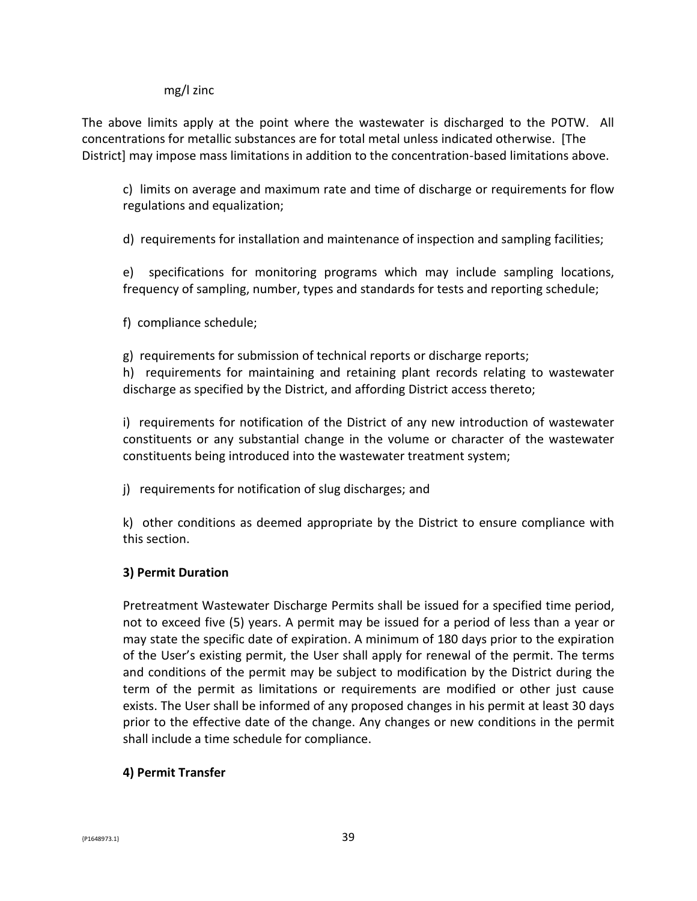#### mg/l zinc

The above limits apply at the point where the wastewater is discharged to the POTW. All concentrations for metallic substances are for total metal unless indicated otherwise. [The District] may impose mass limitations in addition to the concentration-based limitations above.

c) limits on average and maximum rate and time of discharge or requirements for flow regulations and equalization;

d) requirements for installation and maintenance of inspection and sampling facilities;

e) specifications for monitoring programs which may include sampling locations, frequency of sampling, number, types and standards for tests and reporting schedule;

f) compliance schedule;

g) requirements for submission of technical reports or discharge reports; h) requirements for maintaining and retaining plant records relating to wastewater

discharge as specified by the District, and affording District access thereto;

i) requirements for notification of the District of any new introduction of wastewater constituents or any substantial change in the volume or character of the wastewater constituents being introduced into the wastewater treatment system;

j) requirements for notification of slug discharges; and

k) other conditions as deemed appropriate by the District to ensure compliance with this section.

### **3) Permit Duration**

Pretreatment Wastewater Discharge Permits shall be issued for a specified time period, not to exceed five (5) years. A permit may be issued for a period of less than a year or may state the specific date of expiration. A minimum of 180 days prior to the expiration of the User's existing permit, the User shall apply for renewal of the permit. The terms and conditions of the permit may be subject to modification by the District during the term of the permit as limitations or requirements are modified or other just cause exists. The User shall be informed of any proposed changes in his permit at least 30 days prior to the effective date of the change. Any changes or new conditions in the permit shall include a time schedule for compliance.

#### **4) Permit Transfer**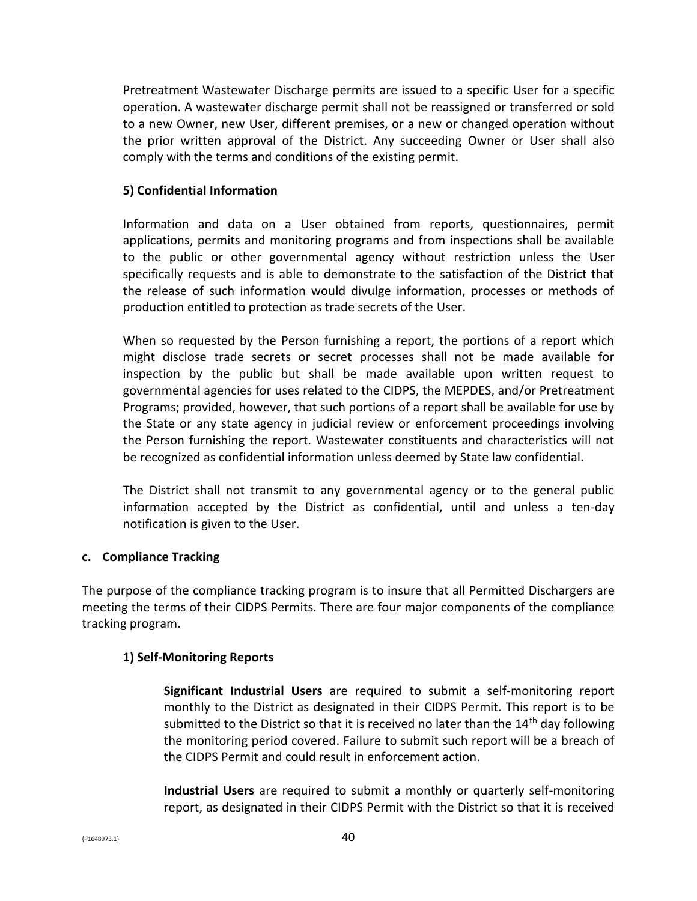Pretreatment Wastewater Discharge permits are issued to a specific User for a specific operation. A wastewater discharge permit shall not be reassigned or transferred or sold to a new Owner, new User, different premises, or a new or changed operation without the prior written approval of the District. Any succeeding Owner or User shall also comply with the terms and conditions of the existing permit.

### **5) Confidential Information**

Information and data on a User obtained from reports, questionnaires, permit applications, permits and monitoring programs and from inspections shall be available to the public or other governmental agency without restriction unless the User specifically requests and is able to demonstrate to the satisfaction of the District that the release of such information would divulge information, processes or methods of production entitled to protection as trade secrets of the User.

When so requested by the Person furnishing a report, the portions of a report which might disclose trade secrets or secret processes shall not be made available for inspection by the public but shall be made available upon written request to governmental agencies for uses related to the CIDPS, the MEPDES, and/or Pretreatment Programs; provided, however, that such portions of a report shall be available for use by the State or any state agency in judicial review or enforcement proceedings involving the Person furnishing the report. Wastewater constituents and characteristics will not be recognized as confidential information unless deemed by State law confidential**.**

The District shall not transmit to any governmental agency or to the general public information accepted by the District as confidential, until and unless a ten-day notification is given to the User.

#### **c. Compliance Tracking**

The purpose of the compliance tracking program is to insure that all Permitted Dischargers are meeting the terms of their CIDPS Permits. There are four major components of the compliance tracking program.

#### **1) Self-Monitoring Reports**

**Significant Industrial Users** are required to submit a self-monitoring report monthly to the District as designated in their CIDPS Permit. This report is to be submitted to the District so that it is received no later than the  $14<sup>th</sup>$  day following the monitoring period covered. Failure to submit such report will be a breach of the CIDPS Permit and could result in enforcement action.

**Industrial Users** are required to submit a monthly or quarterly self-monitoring report, as designated in their CIDPS Permit with the District so that it is received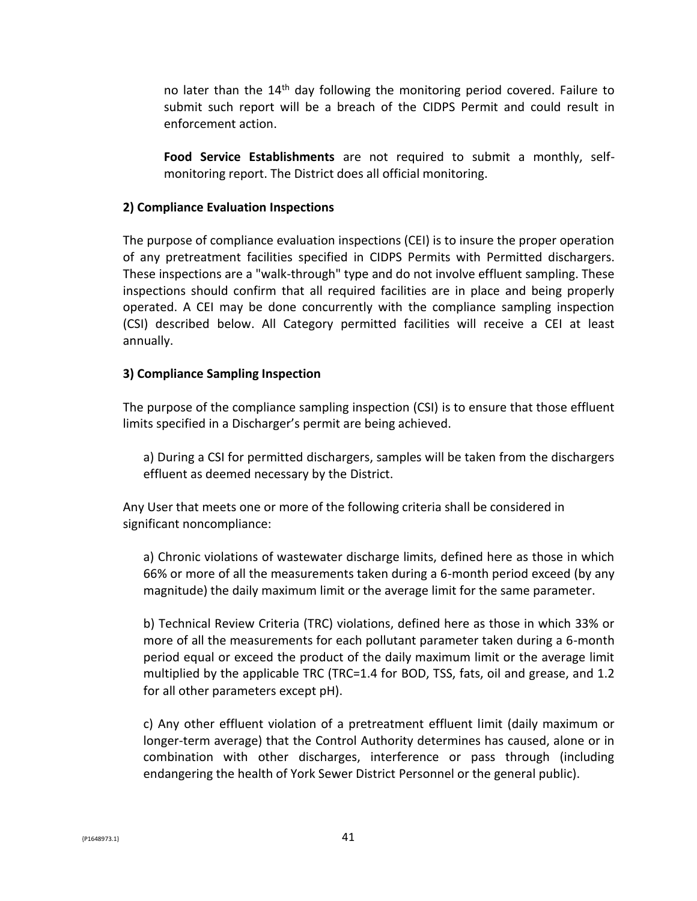no later than the  $14<sup>th</sup>$  day following the monitoring period covered. Failure to submit such report will be a breach of the CIDPS Permit and could result in enforcement action.

**Food Service Establishments** are not required to submit a monthly, selfmonitoring report. The District does all official monitoring.

#### **2) Compliance Evaluation Inspections**

The purpose of compliance evaluation inspections (CEI) is to insure the proper operation of any pretreatment facilities specified in CIDPS Permits with Permitted dischargers. These inspections are a "walk-through" type and do not involve effluent sampling. These inspections should confirm that all required facilities are in place and being properly operated. A CEI may be done concurrently with the compliance sampling inspection (CSI) described below. All Category permitted facilities will receive a CEI at least annually.

#### **3) Compliance Sampling Inspection**

The purpose of the compliance sampling inspection (CSI) is to ensure that those effluent limits specified in a Discharger's permit are being achieved.

a) During a CSI for permitted dischargers, samples will be taken from the dischargers effluent as deemed necessary by the District.

Any User that meets one or more of the following criteria shall be considered in significant noncompliance:

a) Chronic violations of wastewater discharge limits, defined here as those in which 66% or more of all the measurements taken during a 6-month period exceed (by any magnitude) the daily maximum limit or the average limit for the same parameter.

b) Technical Review Criteria (TRC) violations, defined here as those in which 33% or more of all the measurements for each pollutant parameter taken during a 6-month period equal or exceed the product of the daily maximum limit or the average limit multiplied by the applicable TRC (TRC=1.4 for BOD, TSS, fats, oil and grease, and 1.2 for all other parameters except pH).

c) Any other effluent violation of a pretreatment effluent limit (daily maximum or longer-term average) that the Control Authority determines has caused, alone or in combination with other discharges, interference or pass through (including endangering the health of York Sewer District Personnel or the general public).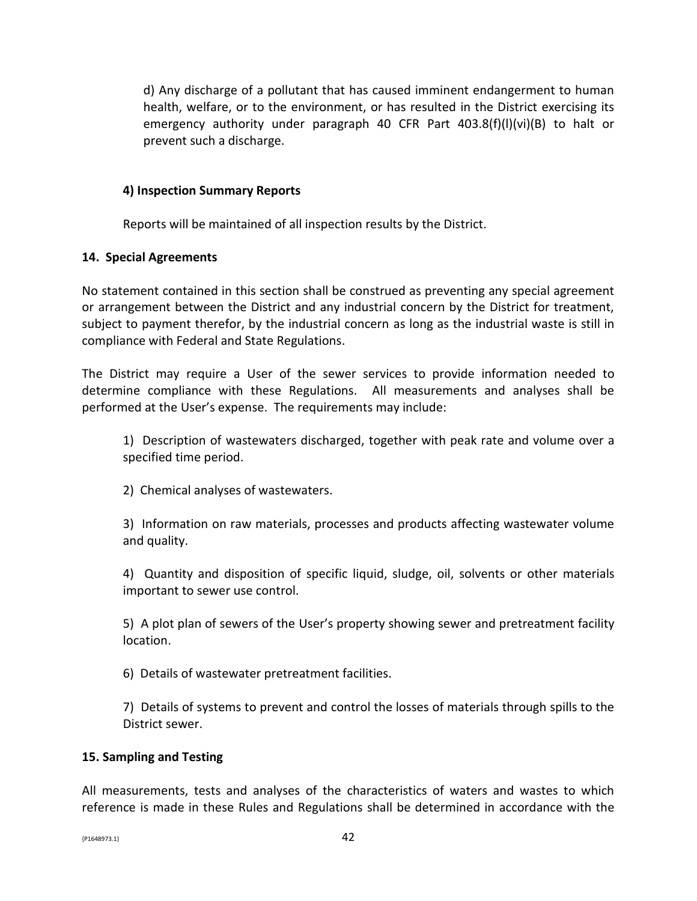d) Any discharge of a pollutant that has caused imminent endangerment to human health, welfare, or to the environment, or has resulted in the District exercising its emergency authority under paragraph 40 CFR Part 403.8(f)(l)(vi)(B) to halt or prevent such a discharge.

#### **4) Inspection Summary Reports**

Reports will be maintained of all inspection results by the District.

### **14. Special Agreements**

No statement contained in this section shall be construed as preventing any special agreement or arrangement between the District and any industrial concern by the District for treatment, subject to payment therefor, by the industrial concern as long as the industrial waste is still in compliance with Federal and State Regulations.

The District may require a User of the sewer services to provide information needed to determine compliance with these Regulations. All measurements and analyses shall be performed at the User's expense. The requirements may include:

1) Description of wastewaters discharged, together with peak rate and volume over a specified time period.

2) Chemical analyses of wastewaters.

3) Information on raw materials, processes and products affecting wastewater volume and quality.

4) Quantity and disposition of specific liquid, sludge, oil, solvents or other materials important to sewer use control.

5) A plot plan of sewers of the User's property showing sewer and pretreatment facility location.

6) Details of wastewater pretreatment facilities.

7) Details of systems to prevent and control the losses of materials through spills to the District sewer.

#### **15. Sampling and Testing**

All measurements, tests and analyses of the characteristics of waters and wastes to which reference is made in these Rules and Regulations shall be determined in accordance with the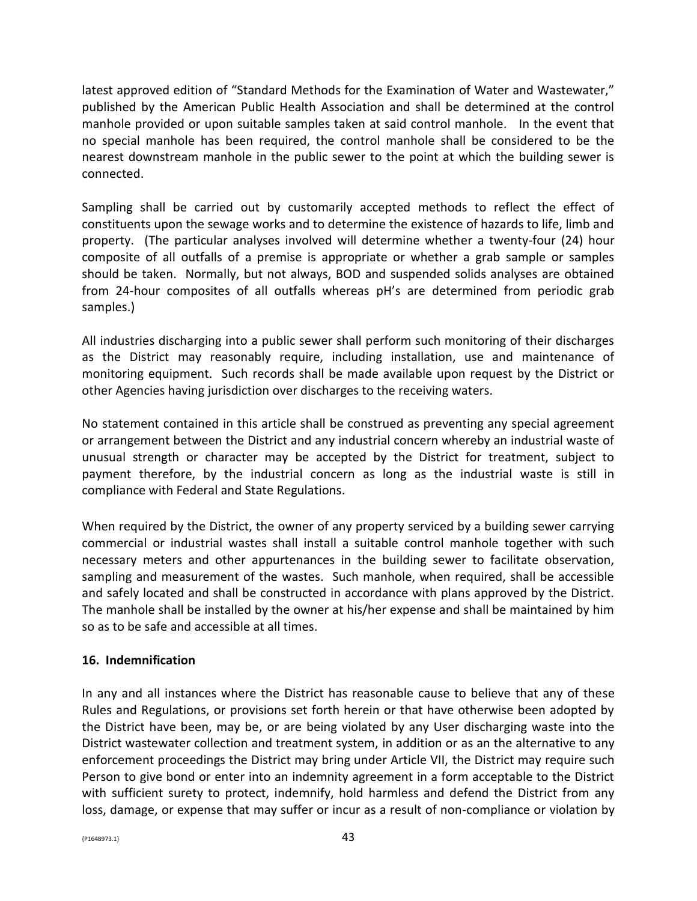latest approved edition of "Standard Methods for the Examination of Water and Wastewater," published by the American Public Health Association and shall be determined at the control manhole provided or upon suitable samples taken at said control manhole. In the event that no special manhole has been required, the control manhole shall be considered to be the nearest downstream manhole in the public sewer to the point at which the building sewer is connected.

Sampling shall be carried out by customarily accepted methods to reflect the effect of constituents upon the sewage works and to determine the existence of hazards to life, limb and property. (The particular analyses involved will determine whether a twenty-four (24) hour composite of all outfalls of a premise is appropriate or whether a grab sample or samples should be taken. Normally, but not always, BOD and suspended solids analyses are obtained from 24-hour composites of all outfalls whereas pH's are determined from periodic grab samples.)

All industries discharging into a public sewer shall perform such monitoring of their discharges as the District may reasonably require, including installation, use and maintenance of monitoring equipment. Such records shall be made available upon request by the District or other Agencies having jurisdiction over discharges to the receiving waters.

No statement contained in this article shall be construed as preventing any special agreement or arrangement between the District and any industrial concern whereby an industrial waste of unusual strength or character may be accepted by the District for treatment, subject to payment therefore, by the industrial concern as long as the industrial waste is still in compliance with Federal and State Regulations.

When required by the District, the owner of any property serviced by a building sewer carrying commercial or industrial wastes shall install a suitable control manhole together with such necessary meters and other appurtenances in the building sewer to facilitate observation, sampling and measurement of the wastes. Such manhole, when required, shall be accessible and safely located and shall be constructed in accordance with plans approved by the District. The manhole shall be installed by the owner at his/her expense and shall be maintained by him so as to be safe and accessible at all times.

### **16. Indemnification**

In any and all instances where the District has reasonable cause to believe that any of these Rules and Regulations, or provisions set forth herein or that have otherwise been adopted by the District have been, may be, or are being violated by any User discharging waste into the District wastewater collection and treatment system, in addition or as an the alternative to any enforcement proceedings the District may bring under Article VII, the District may require such Person to give bond or enter into an indemnity agreement in a form acceptable to the District with sufficient surety to protect, indemnify, hold harmless and defend the District from any loss, damage, or expense that may suffer or incur as a result of non-compliance or violation by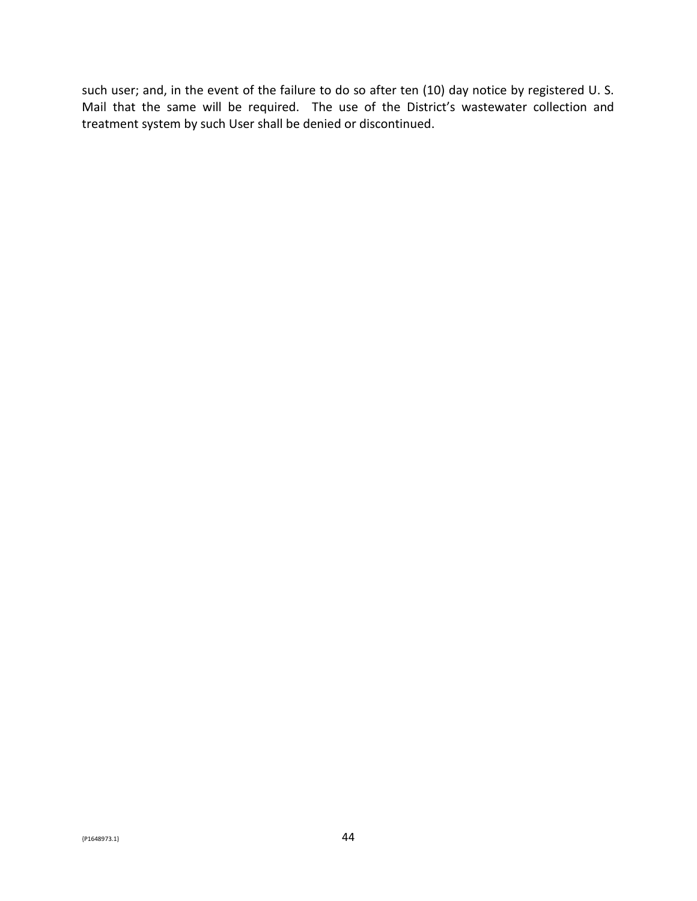such user; and, in the event of the failure to do so after ten (10) day notice by registered U. S. Mail that the same will be required. The use of the District's wastewater collection and treatment system by such User shall be denied or discontinued.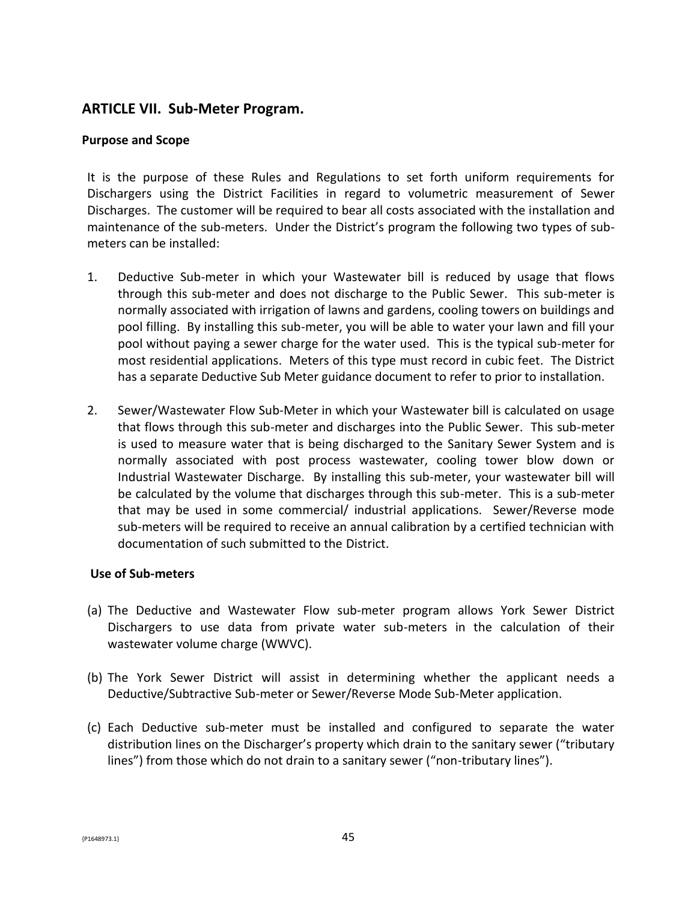### **ARTICLE VII. Sub-Meter Program.**

#### **Purpose and Scope**

It is the purpose of these Rules and Regulations to set forth uniform requirements for Dischargers using the District Facilities in regard to volumetric measurement of Sewer Discharges. The customer will be required to bear all costs associated with the installation and maintenance of the sub-meters. Under the District's program the following two types of submeters can be installed:

- 1. Deductive Sub-meter in which your Wastewater bill is reduced by usage that flows through this sub-meter and does not discharge to the Public Sewer. This sub-meter is normally associated with irrigation of lawns and gardens, cooling towers on buildings and pool filling. By installing this sub-meter, you will be able to water your lawn and fill your pool without paying a sewer charge for the water used. This is the typical sub-meter for most residential applications. Meters of this type must record in cubic feet. The District has a separate Deductive Sub Meter guidance document to refer to prior to installation.
- 2. Sewer/Wastewater Flow Sub-Meter in which your Wastewater bill is calculated on usage that flows through this sub-meter and discharges into the Public Sewer. This sub-meter is used to measure water that is being discharged to the Sanitary Sewer System and is normally associated with post process wastewater, cooling tower blow down or Industrial Wastewater Discharge. By installing this sub-meter, your wastewater bill will be calculated by the volume that discharges through this sub-meter. This is a sub-meter that may be used in some commercial/ industrial applications. Sewer/Reverse mode sub-meters will be required to receive an annual calibration by a certified technician with documentation of such submitted to the District.

#### **Use of Sub-meters**

- (a) The Deductive and Wastewater Flow sub-meter program allows York Sewer District Dischargers to use data from private water sub-meters in the calculation of their wastewater volume charge (WWVC).
- (b) The York Sewer District will assist in determining whether the applicant needs a Deductive/Subtractive Sub-meter or Sewer/Reverse Mode Sub-Meter application.
- (c) Each Deductive sub-meter must be installed and configured to separate the water distribution lines on the Discharger's property which drain to the sanitary sewer ("tributary lines") from those which do not drain to a sanitary sewer ("non-tributary lines").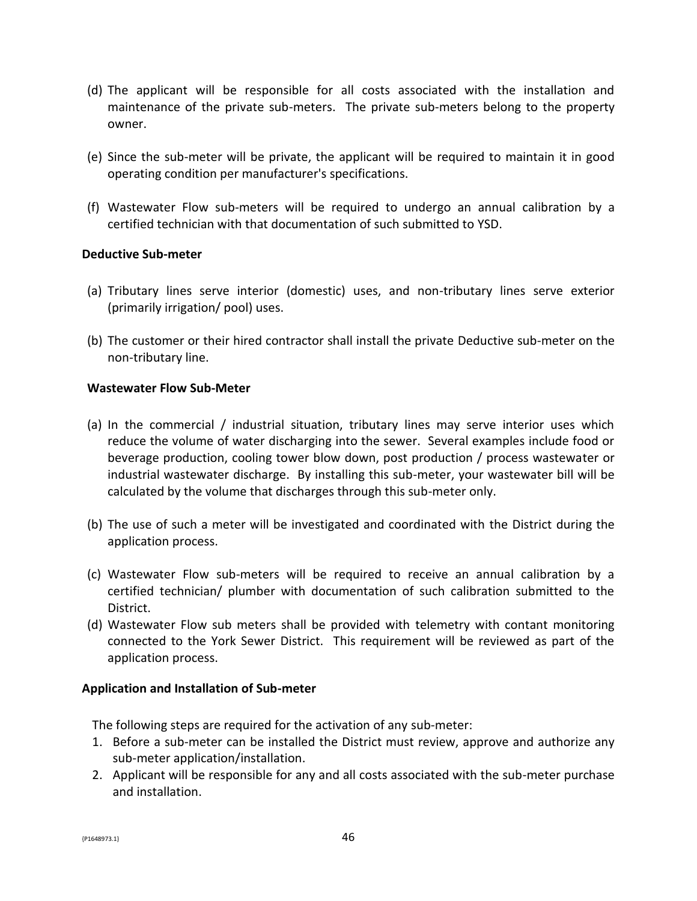- (d) The applicant will be responsible for all costs associated with the installation and maintenance of the private sub-meters. The private sub-meters belong to the property owner.
- (e) Since the sub-meter will be private, the applicant will be required to maintain it in good operating condition per manufacturer's specifications.
- (f) Wastewater Flow sub-meters will be required to undergo an annual calibration by a certified technician with that documentation of such submitted to YSD.

#### **Deductive Sub-meter**

- (a) Tributary lines serve interior (domestic) uses, and non-tributary lines serve exterior (primarily irrigation/ pool) uses.
- (b) The customer or their hired contractor shall install the private Deductive sub-meter on the non-tributary line.

#### **Wastewater Flow Sub-Meter**

- (a) In the commercial / industrial situation, tributary lines may serve interior uses which reduce the volume of water discharging into the sewer. Several examples include food or beverage production, cooling tower blow down, post production / process wastewater or industrial wastewater discharge. By installing this sub-meter, your wastewater bill will be calculated by the volume that discharges through this sub-meter only.
- (b) The use of such a meter will be investigated and coordinated with the District during the application process.
- (c) Wastewater Flow sub-meters will be required to receive an annual calibration by a certified technician/ plumber with documentation of such calibration submitted to the District.
- (d) Wastewater Flow sub meters shall be provided with telemetry with contant monitoring connected to the York Sewer District. This requirement will be reviewed as part of the application process.

#### **Application and Installation of Sub-meter**

The following steps are required for the activation of any sub-meter:

- 1. Before a sub-meter can be installed the District must review, approve and authorize any sub-meter application/installation.
- 2. Applicant will be responsible for any and all costs associated with the sub-meter purchase and installation.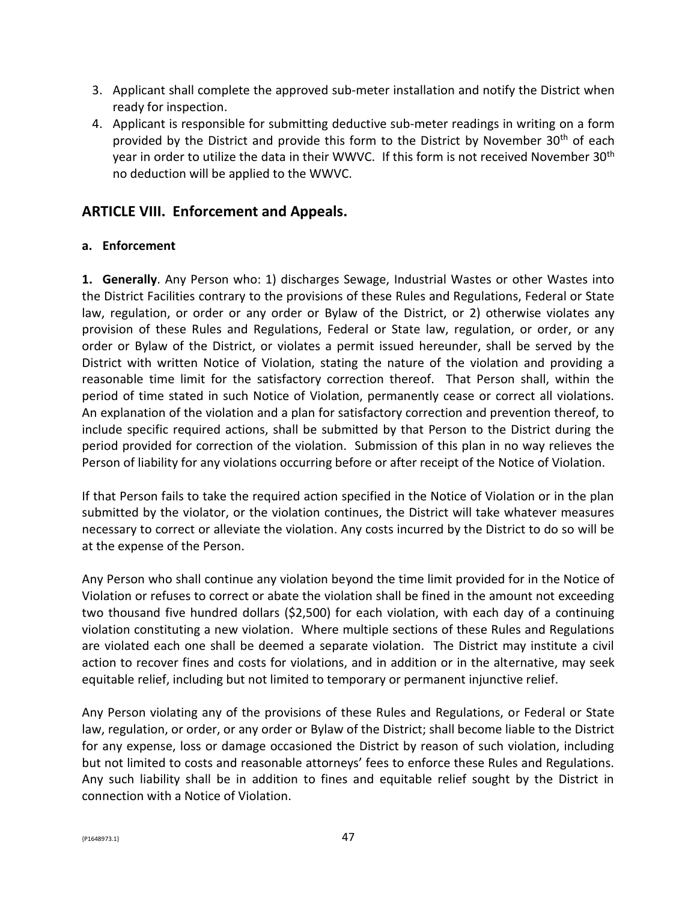- 3. Applicant shall complete the approved sub-meter installation and notify the District when ready for inspection.
- 4. Applicant is responsible for submitting deductive sub-meter readings in writing on a form provided by the District and provide this form to the District by November 30<sup>th</sup> of each year in order to utilize the data in their WWVC. If this form is not received November 30<sup>th</sup> no deduction will be applied to the WWVC.

# **ARTICLE VIII. Enforcement and Appeals.**

### **a. Enforcement**

**1. Generally**. Any Person who: 1) discharges Sewage, Industrial Wastes or other Wastes into the District Facilities contrary to the provisions of these Rules and Regulations, Federal or State law, regulation, or order or any order or Bylaw of the District, or 2) otherwise violates any provision of these Rules and Regulations, Federal or State law, regulation, or order, or any order or Bylaw of the District, or violates a permit issued hereunder, shall be served by the District with written Notice of Violation, stating the nature of the violation and providing a reasonable time limit for the satisfactory correction thereof. That Person shall, within the period of time stated in such Notice of Violation, permanently cease or correct all violations. An explanation of the violation and a plan for satisfactory correction and prevention thereof, to include specific required actions, shall be submitted by that Person to the District during the period provided for correction of the violation. Submission of this plan in no way relieves the Person of liability for any violations occurring before or after receipt of the Notice of Violation.

If that Person fails to take the required action specified in the Notice of Violation or in the plan submitted by the violator, or the violation continues, the District will take whatever measures necessary to correct or alleviate the violation. Any costs incurred by the District to do so will be at the expense of the Person.

Any Person who shall continue any violation beyond the time limit provided for in the Notice of Violation or refuses to correct or abate the violation shall be fined in the amount not exceeding two thousand five hundred dollars (\$2,500) for each violation, with each day of a continuing violation constituting a new violation. Where multiple sections of these Rules and Regulations are violated each one shall be deemed a separate violation. The District may institute a civil action to recover fines and costs for violations, and in addition or in the alternative, may seek equitable relief, including but not limited to temporary or permanent injunctive relief.

Any Person violating any of the provisions of these Rules and Regulations, or Federal or State law, regulation, or order, or any order or Bylaw of the District; shall become liable to the District for any expense, loss or damage occasioned the District by reason of such violation, including but not limited to costs and reasonable attorneys' fees to enforce these Rules and Regulations. Any such liability shall be in addition to fines and equitable relief sought by the District in connection with a Notice of Violation.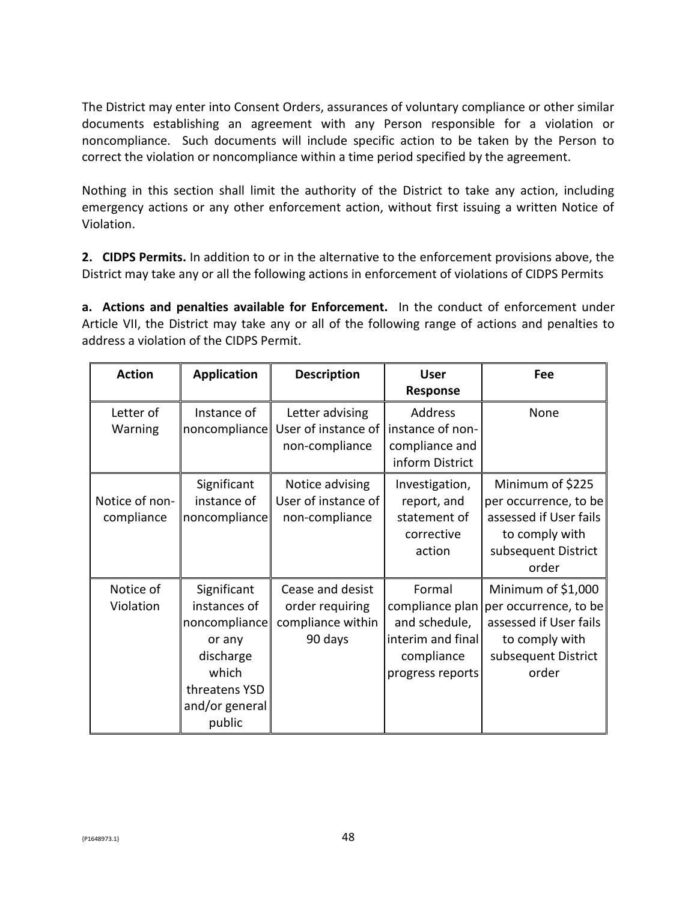The District may enter into Consent Orders, assurances of voluntary compliance or other similar documents establishing an agreement with any Person responsible for a violation or noncompliance. Such documents will include specific action to be taken by the Person to correct the violation or noncompliance within a time period specified by the agreement.

Nothing in this section shall limit the authority of the District to take any action, including emergency actions or any other enforcement action, without first issuing a written Notice of Violation.

**2. CIDPS Permits.** In addition to or in the alternative to the enforcement provisions above, the District may take any or all the following actions in enforcement of violations of CIDPS Permits

**a. Actions and penalties available for Enforcement.** In the conduct of enforcement under Article VII, the District may take any or all of the following range of actions and penalties to address a violation of the CIDPS Permit.

| <b>Action</b>                | <b>Application</b>                                                                                                        | <b>Description</b>                                                  | <b>User</b><br>Response                                                                           | Fee                                                                                                                     |
|------------------------------|---------------------------------------------------------------------------------------------------------------------------|---------------------------------------------------------------------|---------------------------------------------------------------------------------------------------|-------------------------------------------------------------------------------------------------------------------------|
| Letter of<br>Warning         | Instance of<br>noncompliance                                                                                              | Letter advising<br>User of instance of<br>non-compliance            | Address<br>instance of non-<br>compliance and<br>inform District                                  | None                                                                                                                    |
| Notice of non-<br>compliance | Significant<br>instance of<br>noncompliance                                                                               | Notice advising<br>User of instance of<br>non-compliance            | Investigation,<br>report, and<br>statement of<br>corrective<br>action                             | Minimum of \$225<br>per occurrence, to be<br>assessed if User fails<br>to comply with<br>subsequent District<br>order   |
| Notice of<br>Violation       | Significant<br>instances of<br>noncompliance<br>or any<br>discharge<br>which<br>threatens YSD<br>and/or general<br>public | Cease and desist<br>order requiring<br>compliance within<br>90 days | Formal<br>compliance plan<br>and schedule,<br>interim and final<br>compliance<br>progress reports | Minimum of \$1,000<br>per occurrence, to be<br>assessed if User fails<br>to comply with<br>subsequent District<br>order |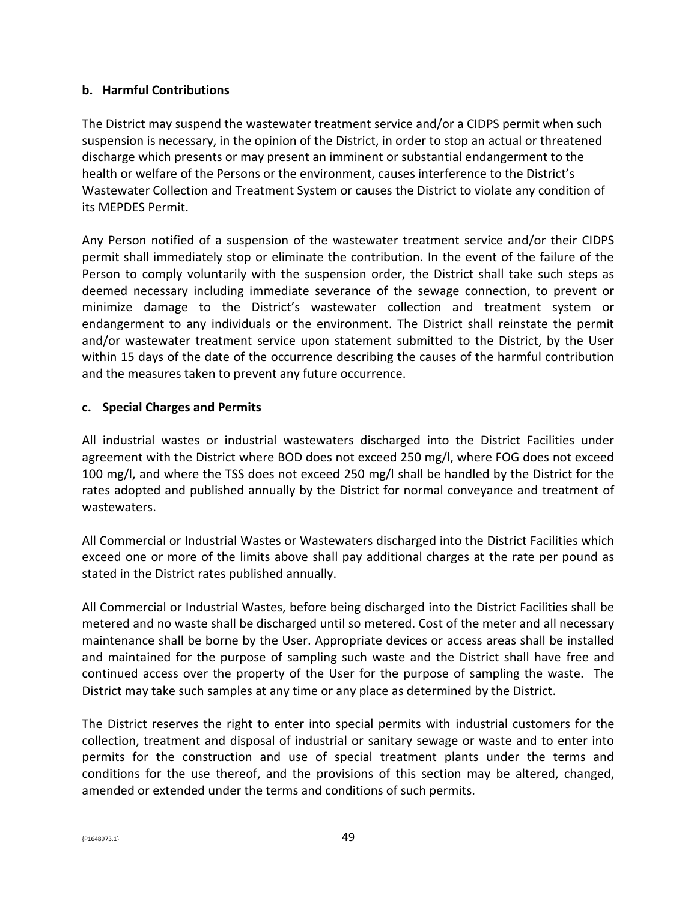#### **b. Harmful Contributions**

The District may suspend the wastewater treatment service and/or a CIDPS permit when such suspension is necessary, in the opinion of the District, in order to stop an actual or threatened discharge which presents or may present an imminent or substantial endangerment to the health or welfare of the Persons or the environment, causes interference to the District's Wastewater Collection and Treatment System or causes the District to violate any condition of its MEPDES Permit.

Any Person notified of a suspension of the wastewater treatment service and/or their CIDPS permit shall immediately stop or eliminate the contribution. In the event of the failure of the Person to comply voluntarily with the suspension order, the District shall take such steps as deemed necessary including immediate severance of the sewage connection, to prevent or minimize damage to the District's wastewater collection and treatment system or endangerment to any individuals or the environment. The District shall reinstate the permit and/or wastewater treatment service upon statement submitted to the District, by the User within 15 days of the date of the occurrence describing the causes of the harmful contribution and the measures taken to prevent any future occurrence.

### **c. Special Charges and Permits**

All industrial wastes or industrial wastewaters discharged into the District Facilities under agreement with the District where BOD does not exceed 250 mg/l, where FOG does not exceed 100 mg/l, and where the TSS does not exceed 250 mg/l shall be handled by the District for the rates adopted and published annually by the District for normal conveyance and treatment of wastewaters.

All Commercial or Industrial Wastes or Wastewaters discharged into the District Facilities which exceed one or more of the limits above shall pay additional charges at the rate per pound as stated in the District rates published annually.

All Commercial or Industrial Wastes, before being discharged into the District Facilities shall be metered and no waste shall be discharged until so metered. Cost of the meter and all necessary maintenance shall be borne by the User. Appropriate devices or access areas shall be installed and maintained for the purpose of sampling such waste and the District shall have free and continued access over the property of the User for the purpose of sampling the waste. The District may take such samples at any time or any place as determined by the District.

The District reserves the right to enter into special permits with industrial customers for the collection, treatment and disposal of industrial or sanitary sewage or waste and to enter into permits for the construction and use of special treatment plants under the terms and conditions for the use thereof, and the provisions of this section may be altered, changed, amended or extended under the terms and conditions of such permits.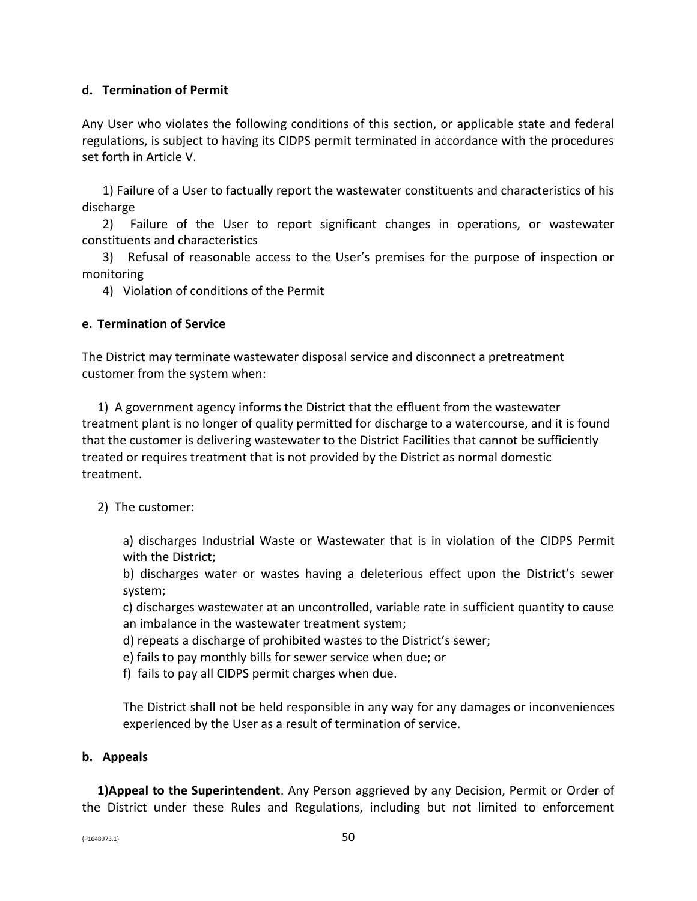### **d. Termination of Permit**

Any User who violates the following conditions of this section, or applicable state and federal regulations, is subject to having its CIDPS permit terminated in accordance with the procedures set forth in Article V.

1) Failure of a User to factually report the wastewater constituents and characteristics of his discharge

2) Failure of the User to report significant changes in operations, or wastewater constituents and characteristics

3) Refusal of reasonable access to the User's premises for the purpose of inspection or monitoring

4) Violation of conditions of the Permit

#### **e. Termination of Service**

The District may terminate wastewater disposal service and disconnect a pretreatment customer from the system when:

1) A government agency informs the District that the effluent from the wastewater treatment plant is no longer of quality permitted for discharge to a watercourse, and it is found that the customer is delivering wastewater to the District Facilities that cannot be sufficiently treated or requires treatment that is not provided by the District as normal domestic treatment.

### 2) The customer:

a) discharges Industrial Waste or Wastewater that is in violation of the CIDPS Permit with the District;

b) discharges water or wastes having a deleterious effect upon the District's sewer system;

c) discharges wastewater at an uncontrolled, variable rate in sufficient quantity to cause an imbalance in the wastewater treatment system;

d) repeats a discharge of prohibited wastes to the District's sewer;

e) fails to pay monthly bills for sewer service when due; or

f) fails to pay all CIDPS permit charges when due.

The District shall not be held responsible in any way for any damages or inconveniences experienced by the User as a result of termination of service.

#### **b. Appeals**

**1)Appeal to the Superintendent**. Any Person aggrieved by any Decision, Permit or Order of the District under these Rules and Regulations, including but not limited to enforcement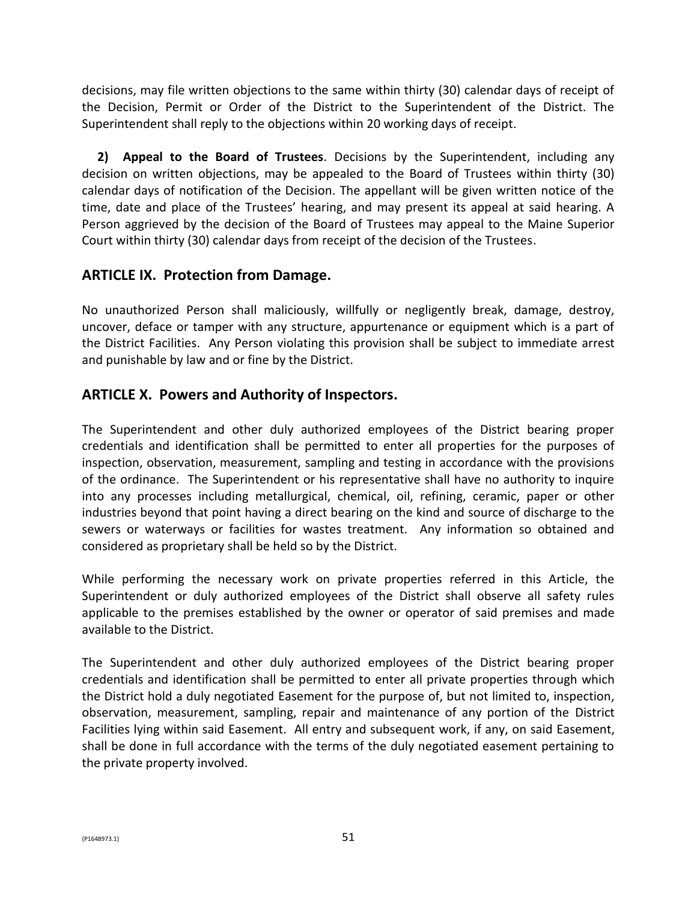decisions, may file written objections to the same within thirty (30) calendar days of receipt of the Decision, Permit or Order of the District to the Superintendent of the District. The Superintendent shall reply to the objections within 20 working days of receipt.

**2) Appeal to the Board of Trustees**. Decisions by the Superintendent, including any decision on written objections, may be appealed to the Board of Trustees within thirty (30) calendar days of notification of the Decision. The appellant will be given written notice of the time, date and place of the Trustees' hearing, and may present its appeal at said hearing. A Person aggrieved by the decision of the Board of Trustees may appeal to the Maine Superior Court within thirty (30) calendar days from receipt of the decision of the Trustees.

# **ARTICLE IX. Protection from Damage.**

No unauthorized Person shall maliciously, willfully or negligently break, damage, destroy, uncover, deface or tamper with any structure, appurtenance or equipment which is a part of the District Facilities. Any Person violating this provision shall be subject to immediate arrest and punishable by law and or fine by the District.

# **ARTICLE X. Powers and Authority of Inspectors.**

The Superintendent and other duly authorized employees of the District bearing proper credentials and identification shall be permitted to enter all properties for the purposes of inspection, observation, measurement, sampling and testing in accordance with the provisions of the ordinance. The Superintendent or his representative shall have no authority to inquire into any processes including metallurgical, chemical, oil, refining, ceramic, paper or other industries beyond that point having a direct bearing on the kind and source of discharge to the sewers or waterways or facilities for wastes treatment. Any information so obtained and considered as proprietary shall be held so by the District.

While performing the necessary work on private properties referred in this Article, the Superintendent or duly authorized employees of the District shall observe all safety rules applicable to the premises established by the owner or operator of said premises and made available to the District.

The Superintendent and other duly authorized employees of the District bearing proper credentials and identification shall be permitted to enter all private properties through which the District hold a duly negotiated Easement for the purpose of, but not limited to, inspection, observation, measurement, sampling, repair and maintenance of any portion of the District Facilities lying within said Easement. All entry and subsequent work, if any, on said Easement, shall be done in full accordance with the terms of the duly negotiated easement pertaining to the private property involved.